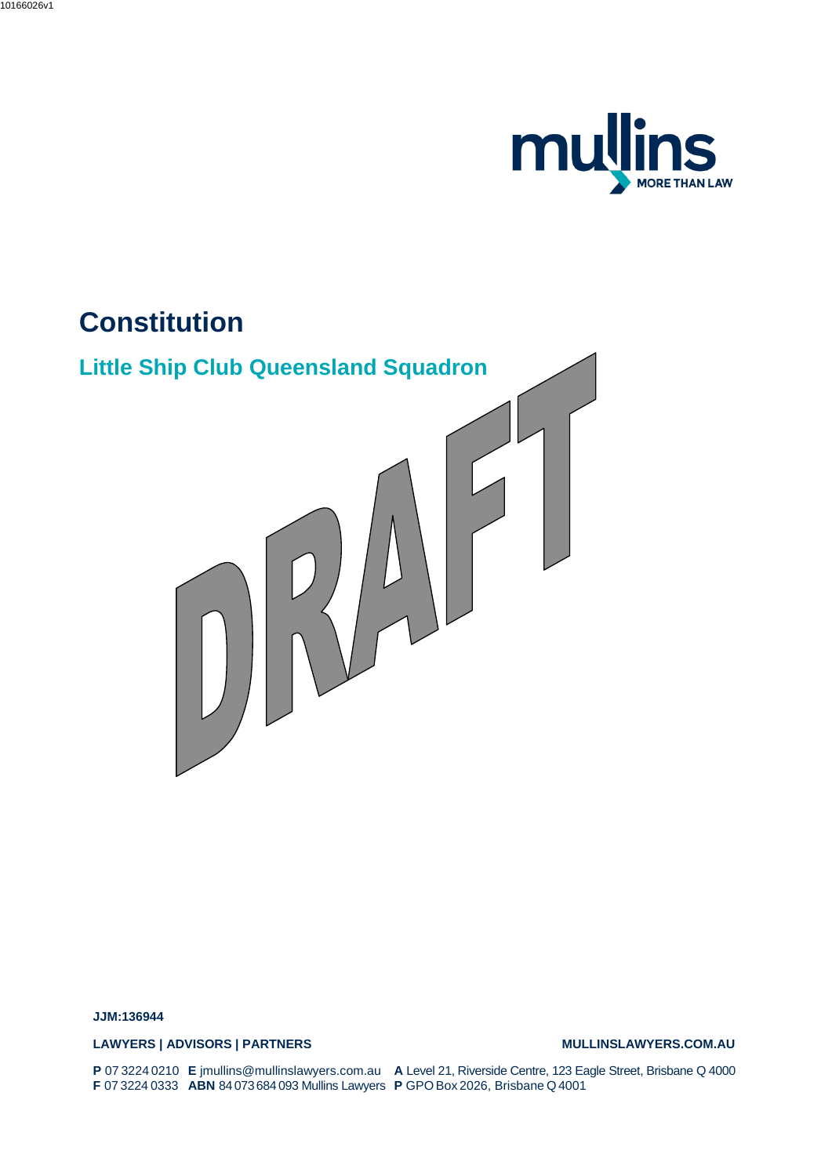

# **Constitution**



**JJM:136944**

LAWYERS | ADVISORS | PARTNERS<br>
MULLINSLAWYERS.COM.AU

**P** 07 3224 0210 **F** 07 3224 0333 **E** jmullins@mullinslawyers.com.au **ABN** 84 073684 093 Mullins Lawyers **A** Level 21, Riverside Centre, 123 Eagle Street, Brisbane Q 4000 **P** GPO Box 2026, Brisbane Q4001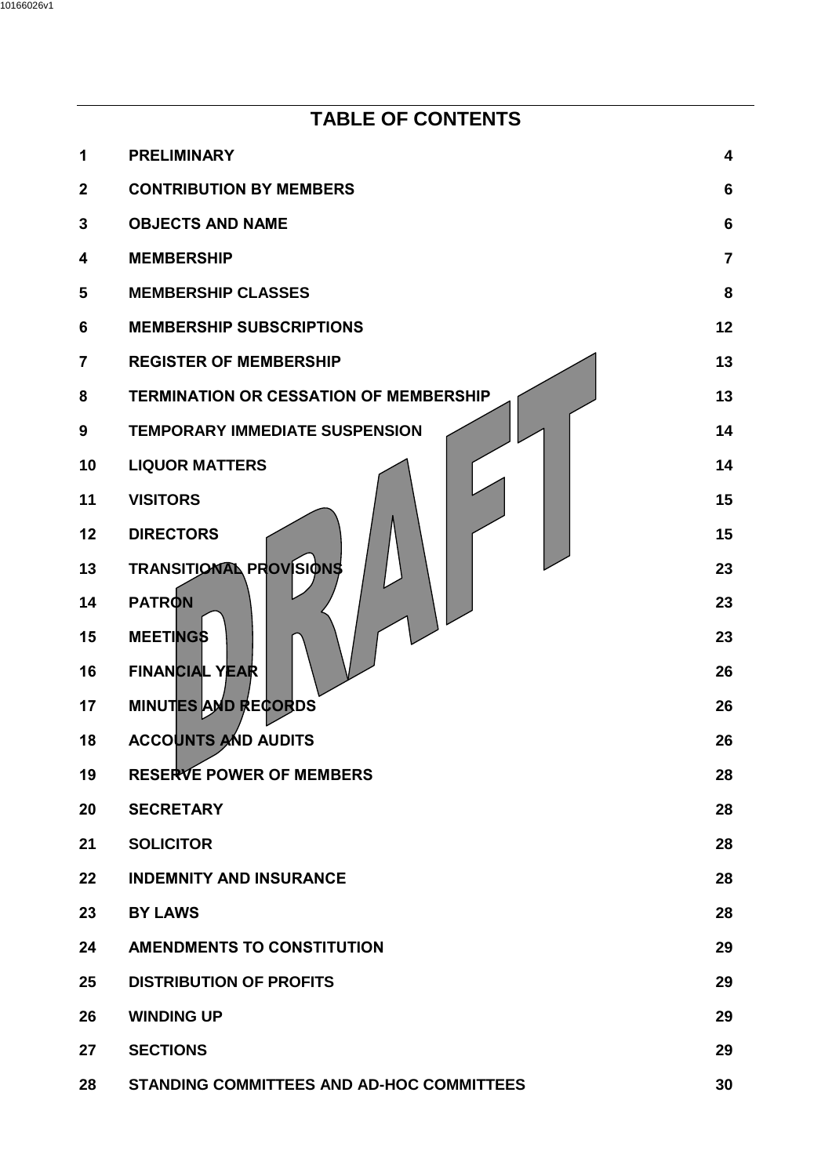|                | <b>TABLE OF CONTENTS</b>                         |                |
|----------------|--------------------------------------------------|----------------|
| 1              | <b>PRELIMINARY</b>                               | 4              |
| $\mathbf{2}$   | <b>CONTRIBUTION BY MEMBERS</b>                   | 6              |
| 3              | <b>OBJECTS AND NAME</b>                          | 6              |
| 4              | <b>MEMBERSHIP</b>                                | $\overline{7}$ |
| 5              | <b>MEMBERSHIP CLASSES</b>                        | 8              |
| 6              | <b>MEMBERSHIP SUBSCRIPTIONS</b>                  | 12             |
| $\overline{7}$ | <b>REGISTER OF MEMBERSHIP</b>                    | 13             |
| 8              | <b>TERMINATION OR CESSATION OF MEMBERSHIP</b>    | 13             |
| 9              | <b>TEMPORARY IMMEDIATE SUSPENSION</b>            | 14             |
| 10             | <b>LIQUOR MATTERS</b>                            | 14             |
| 11             | <b>VISITORS</b>                                  | 15             |
| 12             | <b>DIRECTORS</b>                                 | 15             |
| 13             | <b>TRANSITIONAL PROVISIONS</b>                   | 23             |
| 14             | <b>PATRON</b>                                    | 23             |
| 15             | <b>MEETINGS</b>                                  | 23             |
| 16             | <b>FINANCIAL YEAR</b>                            | 26             |
| 17             | <b>MINUTES AND RECORDS</b>                       | 26             |
| 18             | <b>ACCOUNTS AND AUDITS</b>                       | 26             |
| 19             | <b>RESERVE POWER OF MEMBERS</b>                  | 28             |
| 20             | <b>SECRETARY</b>                                 | 28             |
| 21             | <b>SOLICITOR</b>                                 | 28             |
| 22             | <b>INDEMNITY AND INSURANCE</b>                   | 28             |
| 23             | <b>BY LAWS</b>                                   | 28             |
| 24             | <b>AMENDMENTS TO CONSTITUTION</b>                | 29             |
| 25             | <b>DISTRIBUTION OF PROFITS</b>                   | 29             |
| 26             | <b>WINDING UP</b>                                | 29             |
| 27             | <b>SECTIONS</b>                                  | 29             |
| 28             | <b>STANDING COMMITTEES AND AD-HOC COMMITTEES</b> | 30             |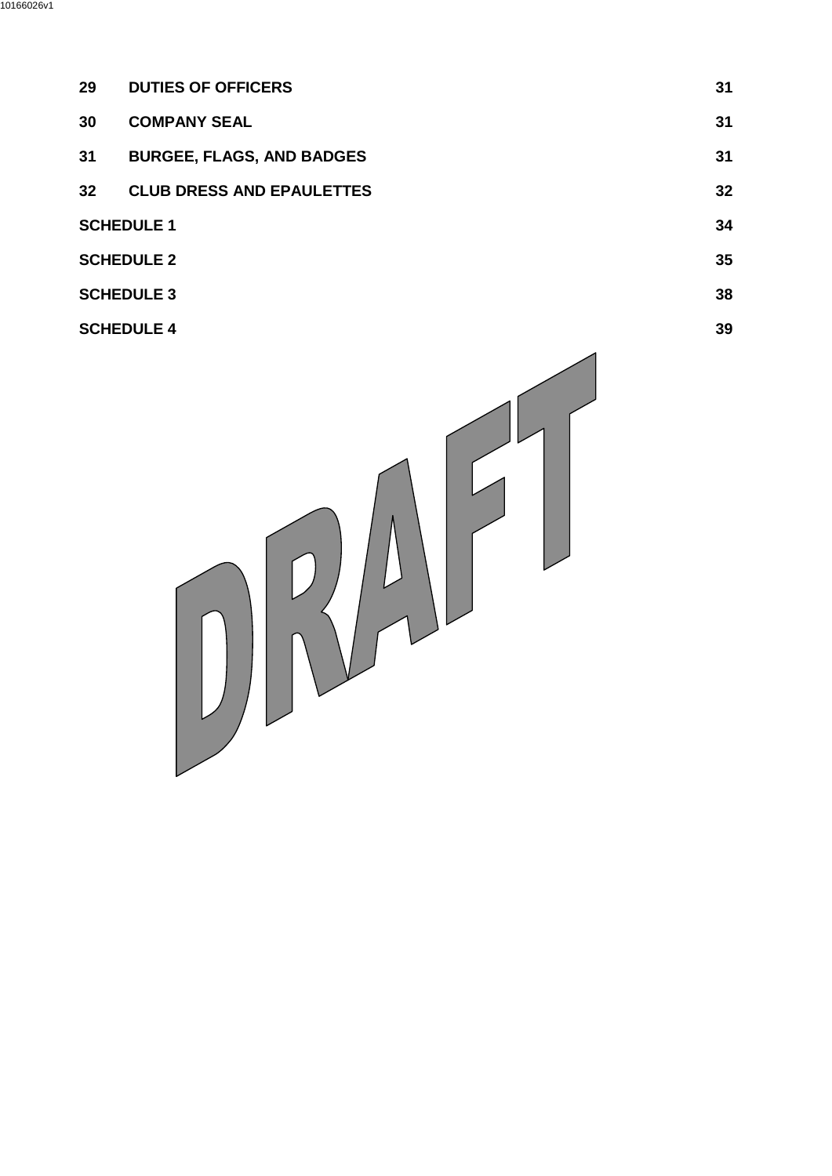| 29                | <b>DUTIES OF OFFICERS</b>        | 31 |
|-------------------|----------------------------------|----|
| 30                | <b>COMPANY SEAL</b>              | 31 |
| 31                | <b>BURGEE, FLAGS, AND BADGES</b> | 31 |
| 32 <sub>2</sub>   | <b>CLUB DRESS AND EPAULETTES</b> | 32 |
| <b>SCHEDULE 1</b> |                                  | 34 |
| <b>SCHEDULE 2</b> |                                  | 35 |
| <b>SCHEDULE 3</b> |                                  | 38 |

**[SCHEDULE 4](#page-38-0)** 39

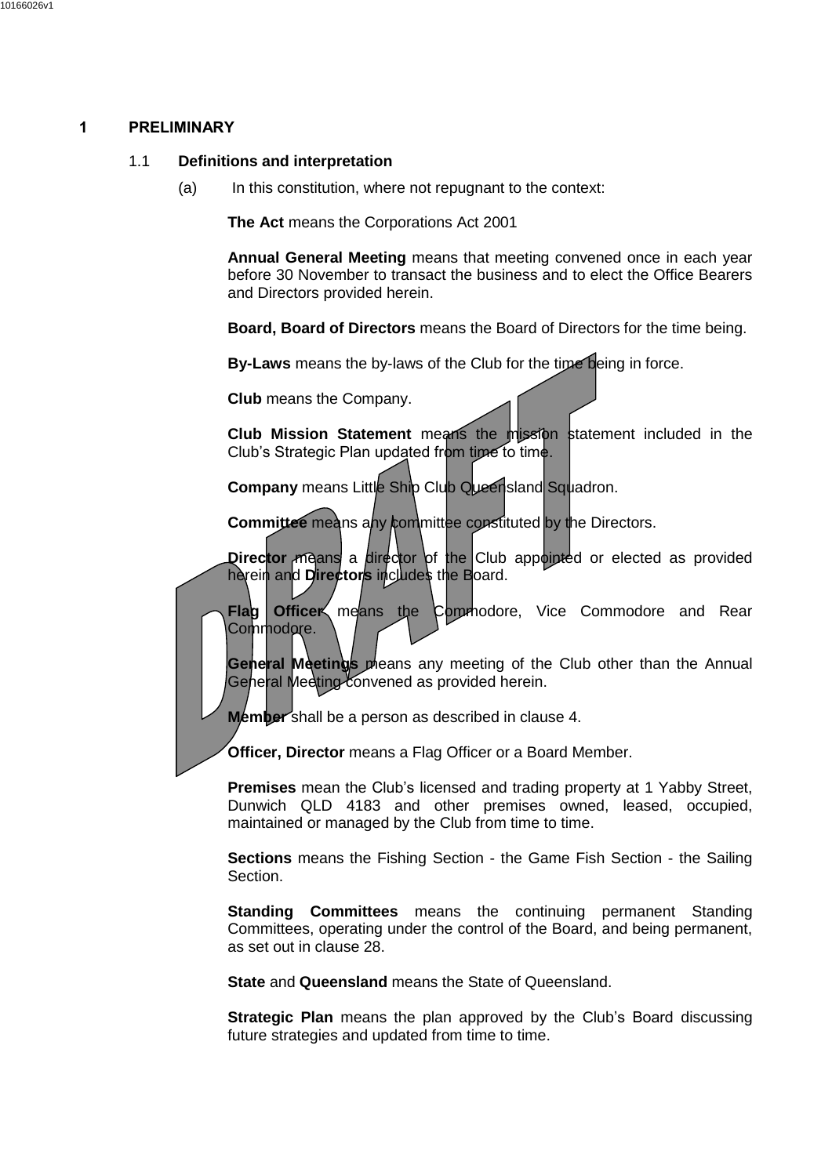## <span id="page-3-0"></span>**1 PRELIMINARY**

#### 1.1 **Definitions and interpretation**

(a) In this constitution, where not repugnant to the context:

**The Act** means the Corporations Act 2001

**Annual General Meeting** means that meeting convened once in each year before 30 November to transact the business and to elect the Office Bearers and Directors provided herein.

**Board, Board of Directors** means the Board of Directors for the time being.

**By-Laws** means the by-laws of the Club for the time being in force.

**Club** means the Company.

**Club Mission Statement** means the mission statement included in the Club's Strategic Plan updated from time to time.

**Company** means Little Ship Club Queensland Squadron.

**Committee** means any committee constituted by the Directors.

**Director** means a director of the Club appointed or elected as provided herein and **Directors** includes the Board.

**Flag Officer** means the Commodore, Vice Commodore and Rear Commodore.

**General Meetings** means any meeting of the Club other than the Annual General Meeting convened as provided herein.

**Member** shall be a person as described in clause [4.](#page-6-0)

**Officer, Director** means a Flag Officer or a Board Member.

**Premises** mean the Club's licensed and trading property at 1 Yabby Street, Dunwich QLD 4183 and other premises owned, leased, occupied, maintained or managed by the Club from time to time.

**Sections** means the Fishing Section - the Game Fish Section - the Sailing Section.

**Standing Committees** means the continuing permanent Standing Committees, operating under the control of the Board, and being permanent, as set out in clause [28.](#page-29-0)

**State** and **Queensland** means the State of Queensland.

**Strategic Plan** means the plan approved by the Club's Board discussing future strategies and updated from time to time.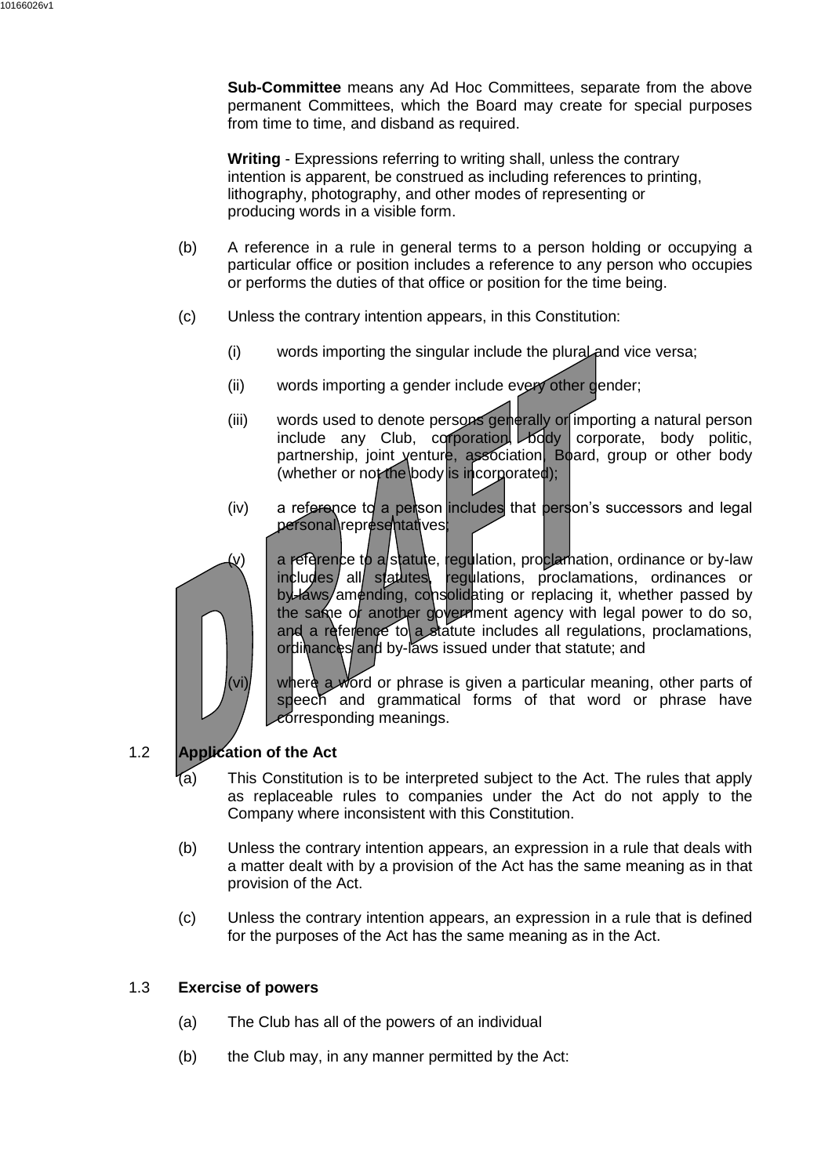**Sub-Committee** means any Ad Hoc Committees, separate from the above permanent Committees, which the Board may create for special purposes from time to time, and disband as required.

**Writing** - Expressions referring to writing shall, unless the contrary intention is apparent, be construed as including references to printing, lithography, photography, and other modes of representing or producing words in a visible form.

- (b) A reference in a rule in general terms to a person holding or occupying a particular office or position includes a reference to any person who occupies or performs the duties of that office or position for the time being.
- (c) Unless the contrary intention appears, in this Constitution:
	- (i) words importing the singular include the plural and vice versa;
	- (ii) words importing a gender include every other gender;
	- (iii) words used to denote persons generally or importing a natural person<br>include any Club, corporation body corporate. body politic.  $include$  any Club, corporation,  $\log$ partnership, joint venture, association, Board, group or other body (whether or not the body is incorporated);
	- $(iv)$  a reference to a person includes that person's successors and legal personal\representatives;



(v) a reference to a statute, regulation, proclamation, ordinance or by-law includes all statutes, regulations, proclamations, ordinances or by-laws/amending, consolidating or replacing it, whether passed by the same of another government agency with legal power to do so, and a reference to a statute includes all regulations, proclamations, ordinances and by-laws issued under that statute; and

(vi)  $\vert$  where a word or phrase is given a particular meaning, other parts of speech and grammatical forms of that word or phrase have corresponding meanings.

# 1.2 **Application of the Act**

- This Constitution is to be interpreted subject to the Act. The rules that apply as replaceable rules to companies under the Act do not apply to the Company where inconsistent with this Constitution.
- (b) Unless the contrary intention appears, an expression in a rule that deals with a matter dealt with by a provision of the Act has the same meaning as in that provision of the Act.
- (c) Unless the contrary intention appears, an expression in a rule that is defined for the purposes of the Act has the same meaning as in the Act.

# 1.3 **Exercise of powers**

- (a) The Club has all of the powers of an individual
- (b) the Club may, in any manner permitted by the Act: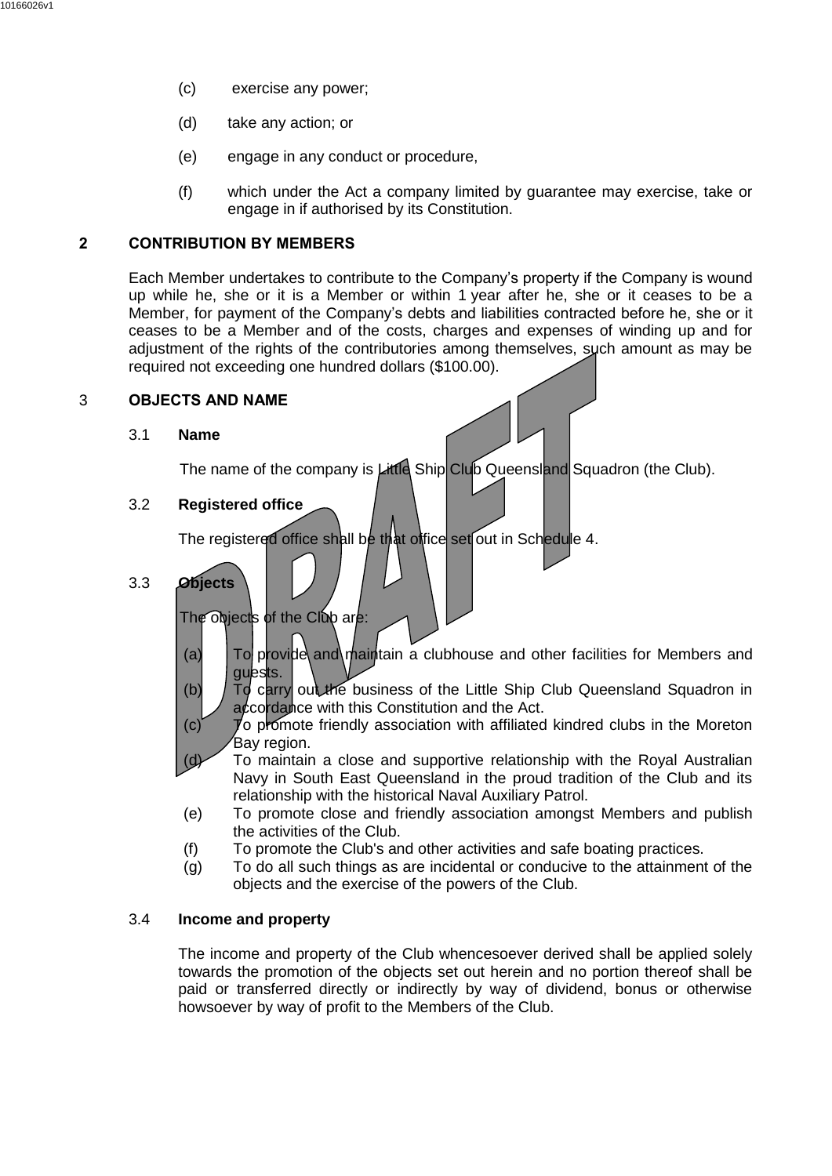- (c) exercise any power;
- (d) take any action; or
- (e) engage in any conduct or procedure,
- (f) which under the Act a company limited by guarantee may exercise, take or engage in if authorised by its Constitution.

## <span id="page-5-0"></span>**2 CONTRIBUTION BY MEMBERS**

Each Member undertakes to contribute to the Company's property if the Company is wound up while he, she or it is a Member or within 1 year after he, she or it ceases to be a Member, for payment of the Company's debts and liabilities contracted before he, she or it ceases to be a Member and of the costs, charges and expenses of winding up and for adjustment of the rights of the contributories among themselves, such amount as may be required not exceeding one hundred dollars (\$100.00).

#### <span id="page-5-1"></span>3 **OBJECTS AND NAME**

#### 3.1 **Name**

The name of the company is Little Ship Club Queensland Squadron (the Club).

## 3.2 **Registered office**

The registered office shall be that office set out in Schedule 4.

3.3 **Objects**

The objects of the Club are:

- (a)  $\boxed{70}$  provide and maintain a clubhouse and other facilities for Members and guests.
- (b) To carry out the business of the Little Ship Club Queensland Squadron in accordance with this Constitution and the Act.
- (c) To promote friendly association with affiliated kindred clubs in the Moreton Bay region.
- $(d)$  To maintain a close and supportive relationship with the Royal Australian Navy in South East Queensland in the proud tradition of the Club and its relationship with the historical Naval Auxiliary Patrol.
- (e) To promote close and friendly association amongst Members and publish the activities of the Club.
- (f) To promote the Club's and other activities and safe boating practices.
- (g) To do all such things as are incidental or conducive to the attainment of the objects and the exercise of the powers of the Club.

## 3.4 **Income and property**

The income and property of the Club whencesoever derived shall be applied solely towards the promotion of the objects set out herein and no portion thereof shall be paid or transferred directly or indirectly by way of dividend, bonus or otherwise howsoever by way of profit to the Members of the Club.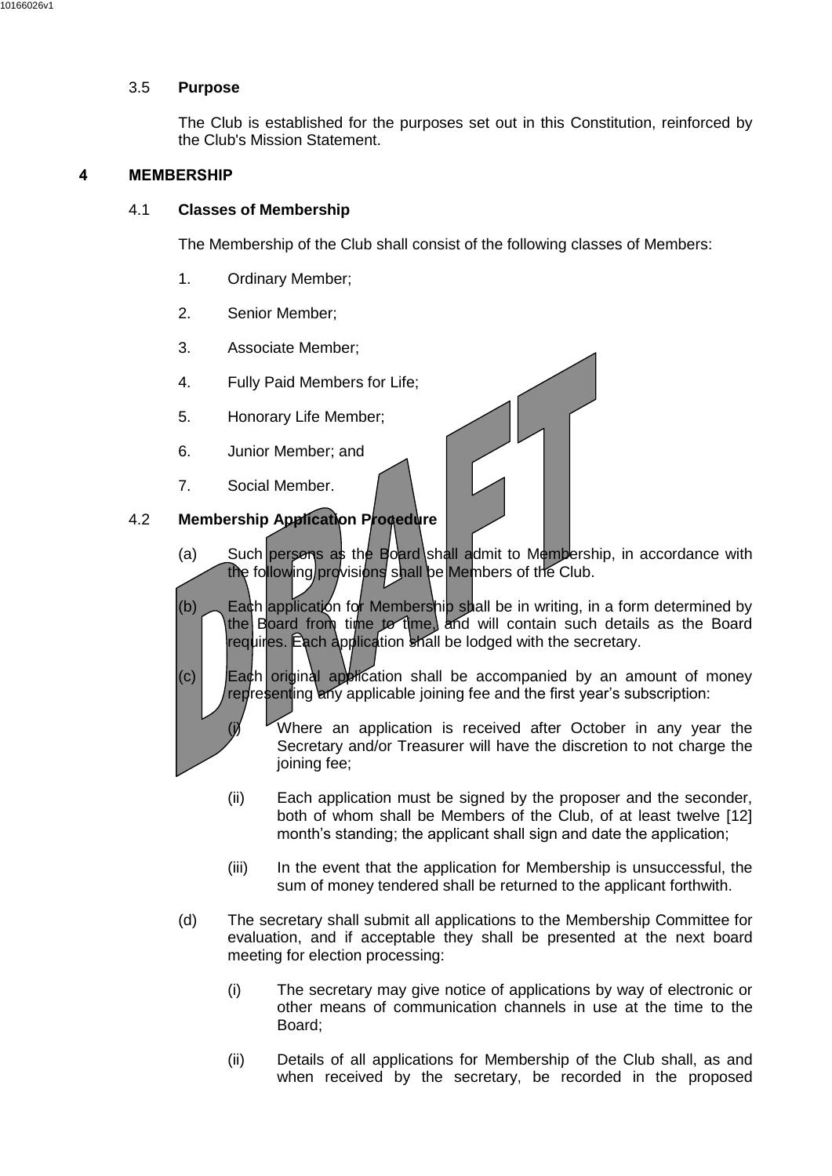#### 3.5 **Purpose**

The Club is established for the purposes set out in this Constitution, reinforced by the Club's Mission Statement.

## <span id="page-6-0"></span>**4 MEMBERSHIP**

#### 4.1 **Classes of Membership**

The Membership of the Club shall consist of the following classes of Members:

- 1. Ordinary Member;
- 2. Senior Member;
- 3. Associate Member;
- 4. Fully Paid Members for Life;
- 5. Honorary Life Member;
- 6. Junior Member; and
- 7. Social Member.



- (a) Such persons as the Board shall admit to Membership, in accordance with the following provisions shall be Members of the Club.
- (b) Each application for Membership shall be in writing, in a form determined by the Board from time to time, and will contain such details as the Board requires. Each application shall be lodged with the secretary.
- $(c)$  Each original application shall be accompanied by an amount of money representing any applicable joining fee and the first year's subscription:
	- (i) Where an application is received after October in any year the Secretary and/or Treasurer will have the discretion to not charge the joining fee:
	- (ii) Each application must be signed by the proposer and the seconder, both of whom shall be Members of the Club, of at least twelve [12] month's standing; the applicant shall sign and date the application;
	- (iii) In the event that the application for Membership is unsuccessful, the sum of money tendered shall be returned to the applicant forthwith.
- (d) The secretary shall submit all applications to the Membership Committee for evaluation, and if acceptable they shall be presented at the next board meeting for election processing:
	- (i) The secretary may give notice of applications by way of electronic or other means of communication channels in use at the time to the Board;
	- (ii) Details of all applications for Membership of the Club shall, as and when received by the secretary, be recorded in the proposed

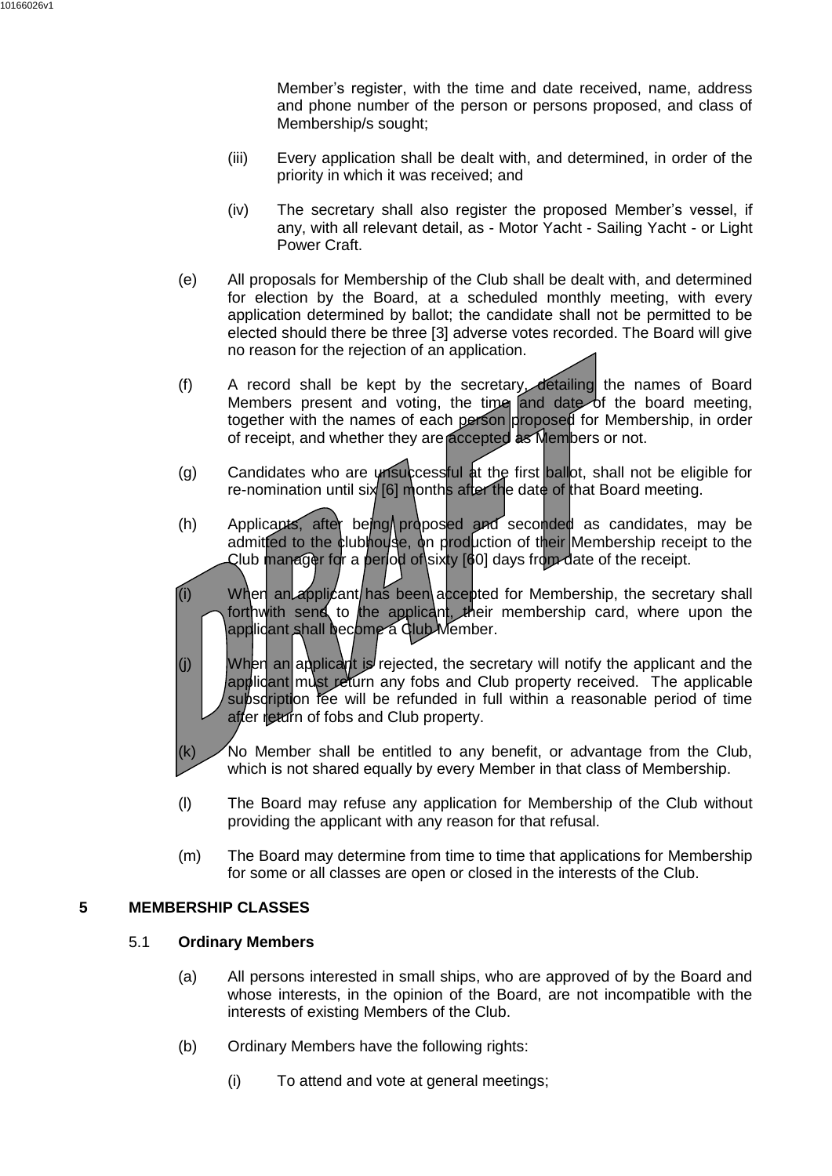Member's register, with the time and date received, name, address and phone number of the person or persons proposed, and class of Membership/s sought;

- (iii) Every application shall be dealt with, and determined, in order of the priority in which it was received; and
- (iv) The secretary shall also register the proposed Member's vessel, if any, with all relevant detail, as - Motor Yacht - Sailing Yacht - or Light Power Craft.
- (e) All proposals for Membership of the Club shall be dealt with, and determined for election by the Board, at a scheduled monthly meeting, with every application determined by ballot; the candidate shall not be permitted to be elected should there be three [3] adverse votes recorded. The Board will give no reason for the rejection of an application.
- (f) A record shall be kept by the secretary, detailing the names of Board Members present and voting, the time and date of the board meeting, together with the names of each person proposed for Membership, in order of receipt, and whether they are accepted as Members or not.
- (g) Candidates who are unsuccessful at the first ballot, shall not be eligible for re-nomination until six [6] months after the date of that Board meeting.
- (h) Applicants, after being proposed and seconded as candidates, may be admitted to the clubhouse, on production of their Membership receipt to the Club manager for a period of sixty [60] days from date of the receipt.
- (i) When an applicant has been accepted for Membership, the secretary shall forthwith send to the applicant, their membership card, where upon the applicant shall become a Club Member.
- (i) When an applicant is rejected, the secretary will notify the applicant and the applicant must return any fobs and Club property received. The applicable subscription fee will be refunded in full within a reasonable period of time after return of fobs and Club property.
- $(k)$  No Member shall be entitled to any benefit, or advantage from the Club, which is not shared equally by every Member in that class of Membership.
- (l) The Board may refuse any application for Membership of the Club without providing the applicant with any reason for that refusal.
- (m) The Board may determine from time to time that applications for Membership for some or all classes are open or closed in the interests of the Club.

## <span id="page-7-0"></span>**5 MEMBERSHIP CLASSES**

## 5.1 **Ordinary Members**

- (a) All persons interested in small ships, who are approved of by the Board and whose interests, in the opinion of the Board, are not incompatible with the interests of existing Members of the Club.
- (b) Ordinary Members have the following rights:
	- (i) To attend and vote at general meetings;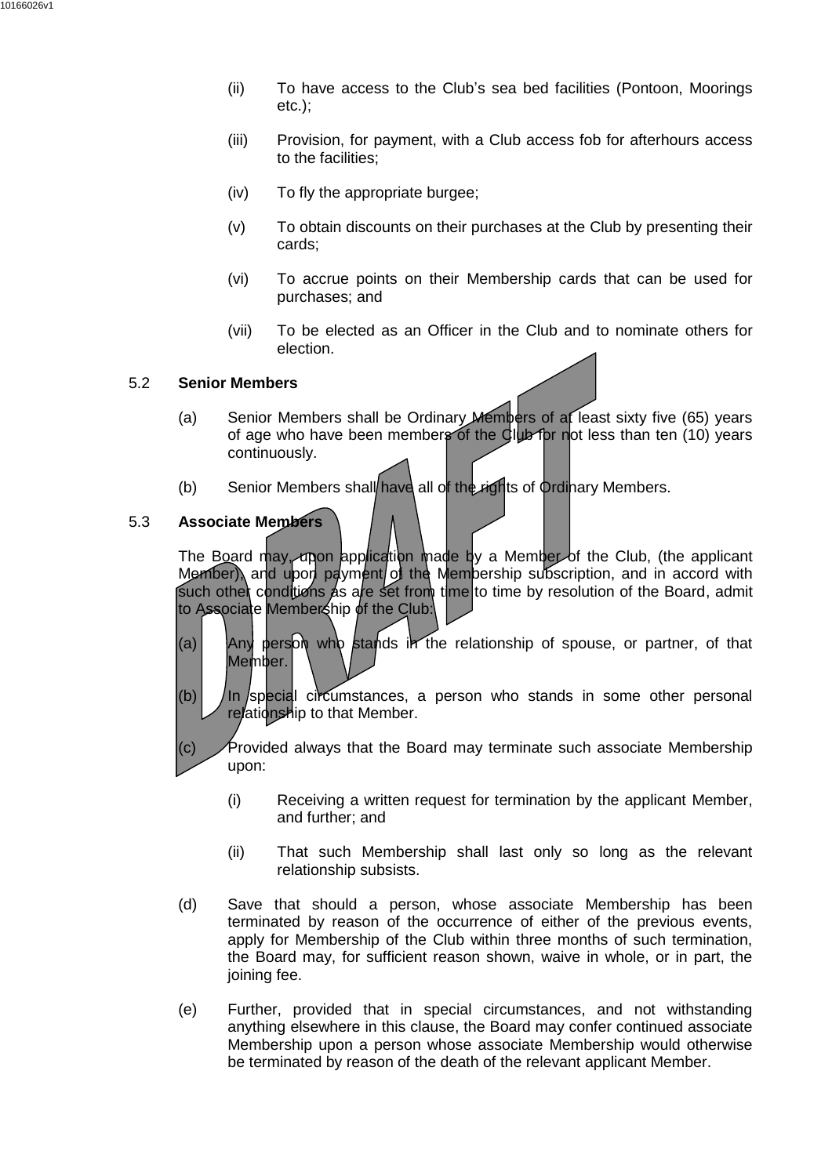- (ii) To have access to the Club's sea bed facilities (Pontoon, Moorings etc.);
- (iii) Provision, for payment, with a Club access fob for afterhours access to the facilities;
- (iv) To fly the appropriate burgee;
- (v) To obtain discounts on their purchases at the Club by presenting their cards;
- (vi) To accrue points on their Membership cards that can be used for purchases; and
- (vii) To be elected as an Officer in the Club and to nominate others for election.

#### 5.2 **Senior Members**

- (a) Senior Members shall be Ordinary Members of at least sixty five (65) years of age who have been members of the Club for not less than ten (10) years continuously.
- (b) Senior Members shall have all of the rights of Ordinary Members.

#### 5.3 **Associate Members**

The Board may, upon application made by a Member of the Club, (the applicant Member), and upon payment of the Membership subscription, and in accord with such other conditions as are set from time to time by resolution of the Board, admit to Associate Membership of the Club:

- (a) Any person who stands in the relationship of spouse, or partner, of that Member.
- $(b)$  In special circumstances, a person who stands in some other personal relationship to that Member.
- $\left( c \right)$  Provided always that the Board may terminate such associate Membership upon:
	- (i) Receiving a written request for termination by the applicant Member, and further; and
	- (ii) That such Membership shall last only so long as the relevant relationship subsists.
- (d) Save that should a person, whose associate Membership has been terminated by reason of the occurrence of either of the previous events, apply for Membership of the Club within three months of such termination, the Board may, for sufficient reason shown, waive in whole, or in part, the joining fee.
- (e) Further, provided that in special circumstances, and not withstanding anything elsewhere in this clause, the Board may confer continued associate Membership upon a person whose associate Membership would otherwise be terminated by reason of the death of the relevant applicant Member.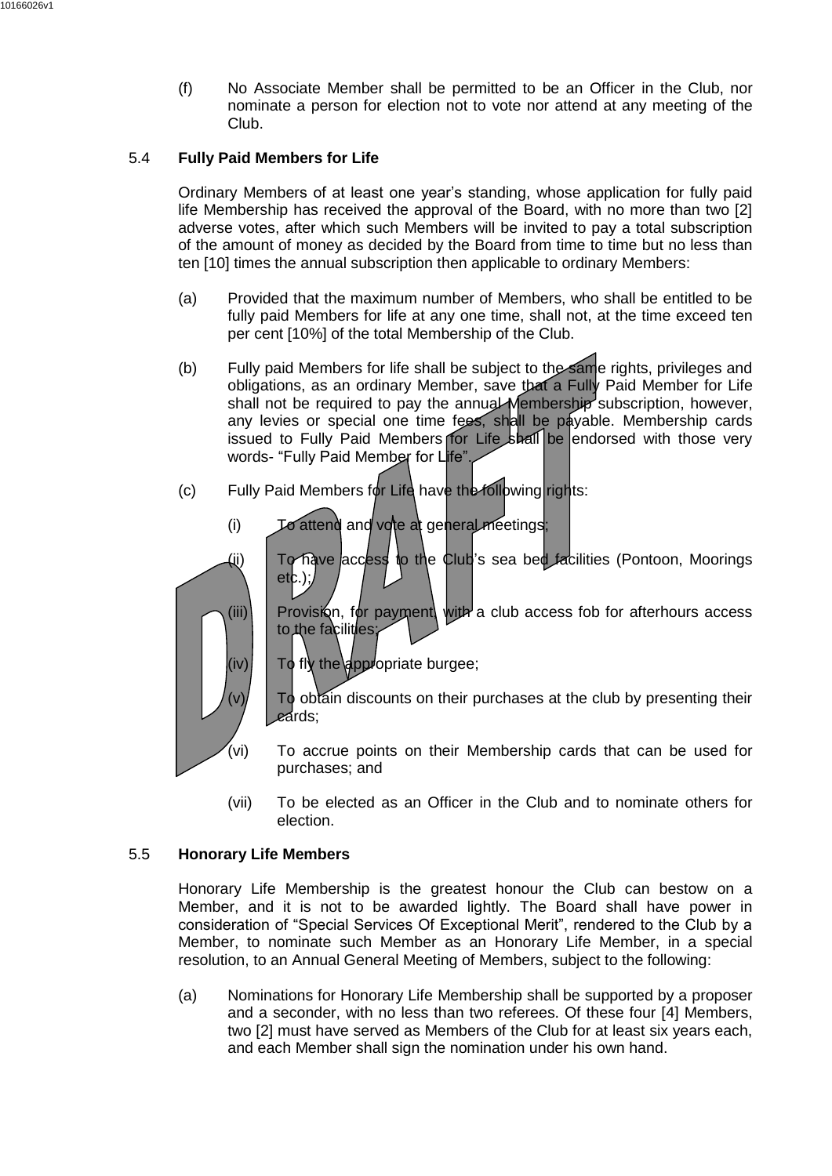(f) No Associate Member shall be permitted to be an Officer in the Club, nor nominate a person for election not to vote nor attend at any meeting of the Club.

# 5.4 **Fully Paid Members for Life**

Ordinary Members of at least one year's standing, whose application for fully paid life Membership has received the approval of the Board, with no more than two [2] adverse votes, after which such Members will be invited to pay a total subscription of the amount of money as decided by the Board from time to time but no less than ten [10] times the annual subscription then applicable to ordinary Members:

- (a) Provided that the maximum number of Members, who shall be entitled to be fully paid Members for life at any one time, shall not, at the time exceed ten per cent [10%] of the total Membership of the Club.
- (b) Fully paid Members for life shall be subject to the same rights, privileges and obligations, as an ordinary Member, save that a Fully Paid Member for Life shall not be required to pay the annual Membership subscription, however, any levies or special one time fees, shall be payable. Membership cards issued to Fully Paid Members for Life shall be endorsed with those very words- "Fully Paid Member for Life".
- (c) Fully Paid Members for Life have the following rights:
	- (i) To attend and vote at general meetings;
	- (ii) To have access to the Club's sea bed facilities (Pontoon, Moorings  $etc.$ );



 $(iii)$  Provision, for payment, with a club access fob for afterhours access to the facilities

 $(iv)$  To fly the appropriate burgee;

To obtain discounts on their purchases at the club by presenting their cards;

- (vi) To accrue points on their Membership cards that can be used for purchases; and
- (vii) To be elected as an Officer in the Club and to nominate others for election.

# 5.5 **Honorary Life Members**

Honorary Life Membership is the greatest honour the Club can bestow on a Member, and it is not to be awarded lightly. The Board shall have power in consideration of "Special Services Of Exceptional Merit", rendered to the Club by a Member, to nominate such Member as an Honorary Life Member, in a special resolution, to an Annual General Meeting of Members, subject to the following:

(a) Nominations for Honorary Life Membership shall be supported by a proposer and a seconder, with no less than two referees. Of these four [4] Members, two [2] must have served as Members of the Club for at least six years each, and each Member shall sign the nomination under his own hand.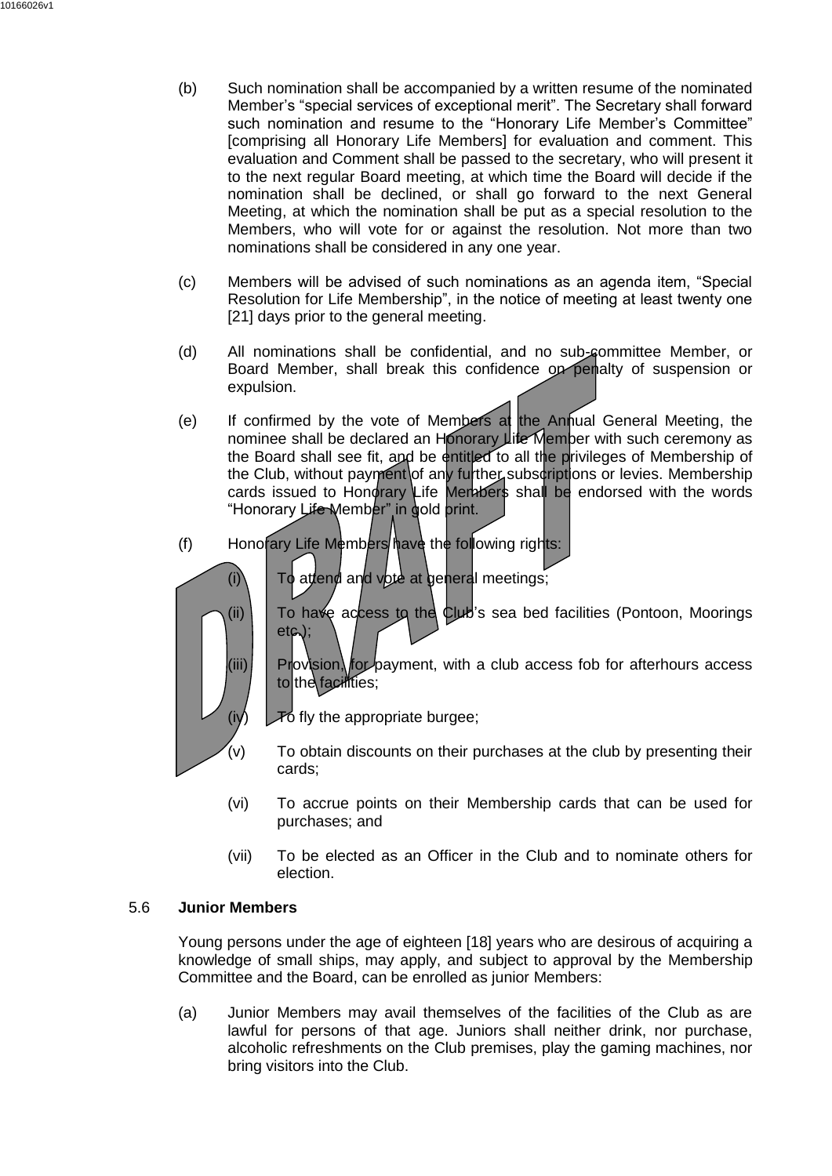- (b) Such nomination shall be accompanied by a written resume of the nominated Member's "special services of exceptional merit". The Secretary shall forward such nomination and resume to the "Honorary Life Member's Committee" [comprising all Honorary Life Members] for evaluation and comment. This evaluation and Comment shall be passed to the secretary, who will present it to the next regular Board meeting, at which time the Board will decide if the nomination shall be declined, or shall go forward to the next General Meeting, at which the nomination shall be put as a special resolution to the Members, who will vote for or against the resolution. Not more than two nominations shall be considered in any one year.
- (c) Members will be advised of such nominations as an agenda item, "Special Resolution for Life Membership", in the notice of meeting at least twenty one [21] days prior to the general meeting.
- (d) All nominations shall be confidential, and no sub-committee Member, or Board Member, shall break this confidence on penalty of suspension or expulsion.
- (e) If confirmed by the vote of Members at the Annual General Meeting, the nominee shall be declared an Honorary Life Member with such ceremony as the Board shall see fit, and be entitled to all the privileges of Membership of the Club, without payment of any further subscriptions or levies. Membership cards issued to Honorary Life Members shall be endorsed with the words "Honorary Life Member" in gold print.
- (f) Honorary Life Members have the following rights:
	- $(i)$  To attend and vote at general meetings;



(ii) To have access to the Club's sea bed facilities (Pontoon, Moorings etc.);

 $(iii)$  Provision, for payment, with a club access fob for afterhours access to the facilities;

 $(iv)$   $\sqrt{\ }$   $\sqrt{\ }$  fly the appropriate burgee;

- $(v)$  To obtain discounts on their purchases at the club by presenting their cards;
- (vi) To accrue points on their Membership cards that can be used for purchases; and
- (vii) To be elected as an Officer in the Club and to nominate others for election.

#### 5.6 **Junior Members**

Young persons under the age of eighteen [18] years who are desirous of acquiring a knowledge of small ships, may apply, and subject to approval by the Membership Committee and the Board, can be enrolled as junior Members:

(a) Junior Members may avail themselves of the facilities of the Club as are lawful for persons of that age. Juniors shall neither drink, nor purchase, alcoholic refreshments on the Club premises, play the gaming machines, nor bring visitors into the Club.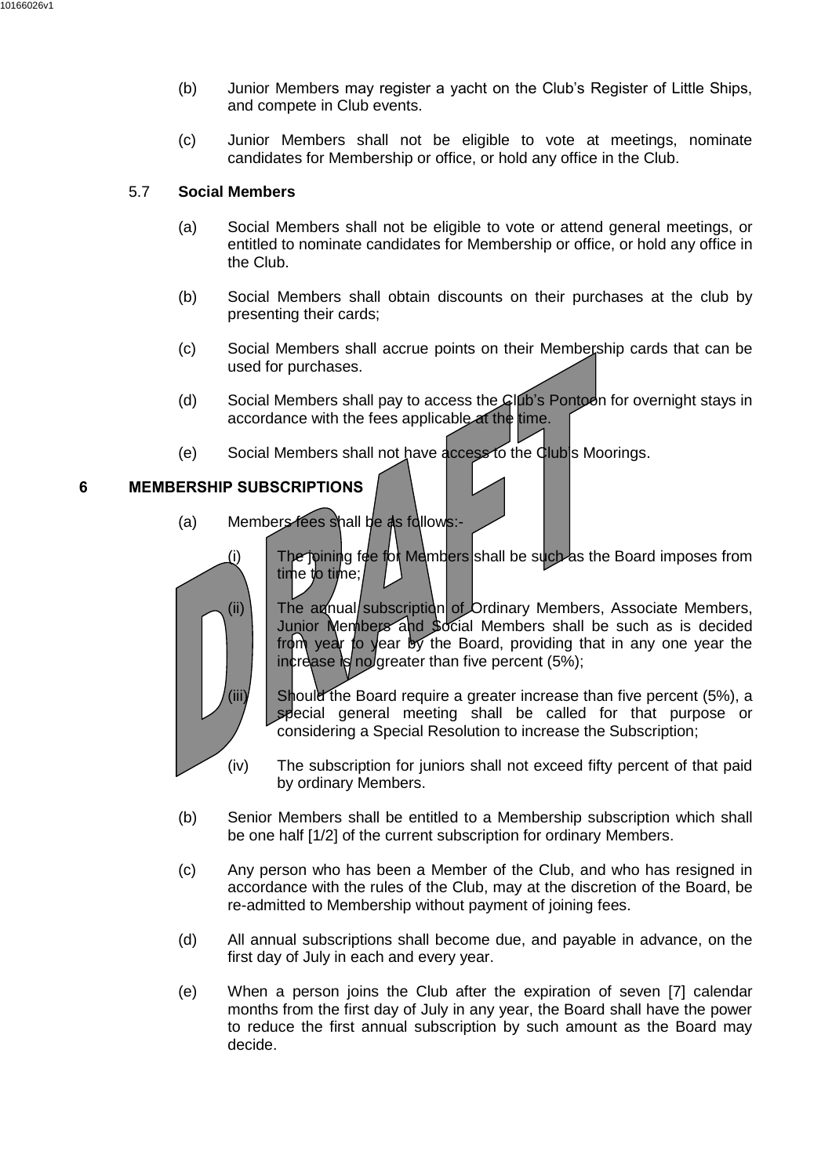- (b) Junior Members may register a yacht on the Club's Register of Little Ships, and compete in Club events.
- (c) Junior Members shall not be eligible to vote at meetings, nominate candidates for Membership or office, or hold any office in the Club.

## 5.7 **Social Members**

- (a) Social Members shall not be eligible to vote or attend general meetings, or entitled to nominate candidates for Membership or office, or hold any office in the Club.
- (b) Social Members shall obtain discounts on their purchases at the club by presenting their cards;
- (c) Social Members shall accrue points on their Membership cards that can be used for purchases.
- (d) Social Members shall pay to access the Club's Pontoon for overnight stays in accordance with the fees applicable at the time.
- (e) Social Members shall not have access to the Club's Moorings.

# <span id="page-11-0"></span>**6 MEMBERSHIP SUBSCRIPTIONS**

- (a) Members fees shall be as follows:-
	- (i) The joining fee for Members shall be such as the Board imposes from time to time;

(ii)  $\vert$  The annual/subscription of Ordinary Members, Associate Members, Junior Members and Social Members shall be such as is decided from year to year by the Board, providing that in any one year the increase is no greater than five percent  $(5\%)$ ;

(iii)  $\Box$  Should the Board require a greater increase than five percent (5%), a special general meeting shall be called for that purpose or considering a Special Resolution to increase the Subscription;

- (iv) The subscription for juniors shall not exceed fifty percent of that paid by ordinary Members.
- (b) Senior Members shall be entitled to a Membership subscription which shall be one half [1/2] of the current subscription for ordinary Members.
- (c) Any person who has been a Member of the Club, and who has resigned in accordance with the rules of the Club, may at the discretion of the Board, be re-admitted to Membership without payment of joining fees.
- (d) All annual subscriptions shall become due, and payable in advance, on the first day of July in each and every year.
- (e) When a person joins the Club after the expiration of seven [7] calendar months from the first day of July in any year, the Board shall have the power to reduce the first annual subscription by such amount as the Board may decide.

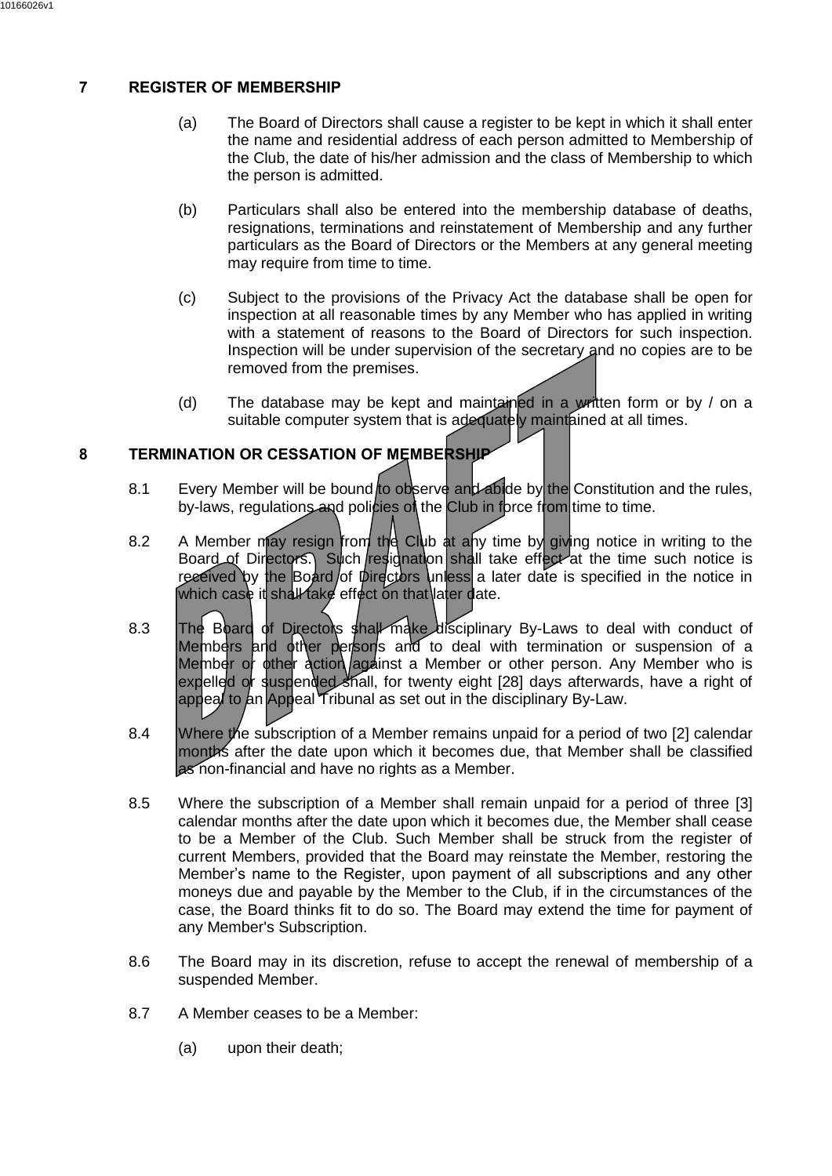# <span id="page-12-0"></span>**7 REGISTER OF MEMBERSHIP**

- (a) The Board of Directors shall cause a register to be kept in which it shall enter the name and residential address of each person admitted to Membership of the Club, the date of his/her admission and the class of Membership to which the person is admitted.
- (b) Particulars shall also be entered into the membership database of deaths, resignations, terminations and reinstatement of Membership and any further particulars as the Board of Directors or the Members at any general meeting may require from time to time.
- (c) Subject to the provisions of the Privacy Act the database shall be open for inspection at all reasonable times by any Member who has applied in writing with a statement of reasons to the Board of Directors for such inspection. Inspection will be under supervision of the secretary and no copies are to be removed from the premises.
- (d) The database may be kept and maintained in a written form or by  $\ell$  on a suitable computer system that is adequately maintained at all times.

# <span id="page-12-1"></span>**8 TERMINATION OR CESSATION OF MEMBERSHIP**

- 8.1 Every Member will be bound to observe and abide by the Constitution and the rules, by-laws, regulations and policies of the Club in force from time to time.
- 8.2 A Member may resign from the Club at any time by giving notice in writing to the Board of Directors. Such resignation shall take effect at the time such notice is received by the Board of Directors unless a later date is specified in the notice in which case it shall take effect on that later date.
- 8.3 The Board of Directors shall make disciplinary By-Laws to deal with conduct of Members and other persons and to deal with termination or suspension of a Member or other action against a Member or other person. Any Member who is expelled or suspended shall, for twenty eight [28] days afterwards, have a right of appeal to an Appeal Tribunal as set out in the disciplinary By-Law.
- 8.4 Where the subscription of a Member remains unpaid for a period of two [2] calendar months after the date upon which it becomes due, that Member shall be classified as non-financial and have no rights as a Member.
- 8.5 Where the subscription of a Member shall remain unpaid for a period of three [3] calendar months after the date upon which it becomes due, the Member shall cease to be a Member of the Club. Such Member shall be struck from the register of current Members, provided that the Board may reinstate the Member, restoring the Member's name to the Register, upon payment of all subscriptions and any other moneys due and payable by the Member to the Club, if in the circumstances of the case, the Board thinks fit to do so. The Board may extend the time for payment of any Member's Subscription.
- 8.6 The Board may in its discretion, refuse to accept the renewal of membership of a suspended Member.
- 8.7 A Member ceases to be a Member:
	- (a) upon their death;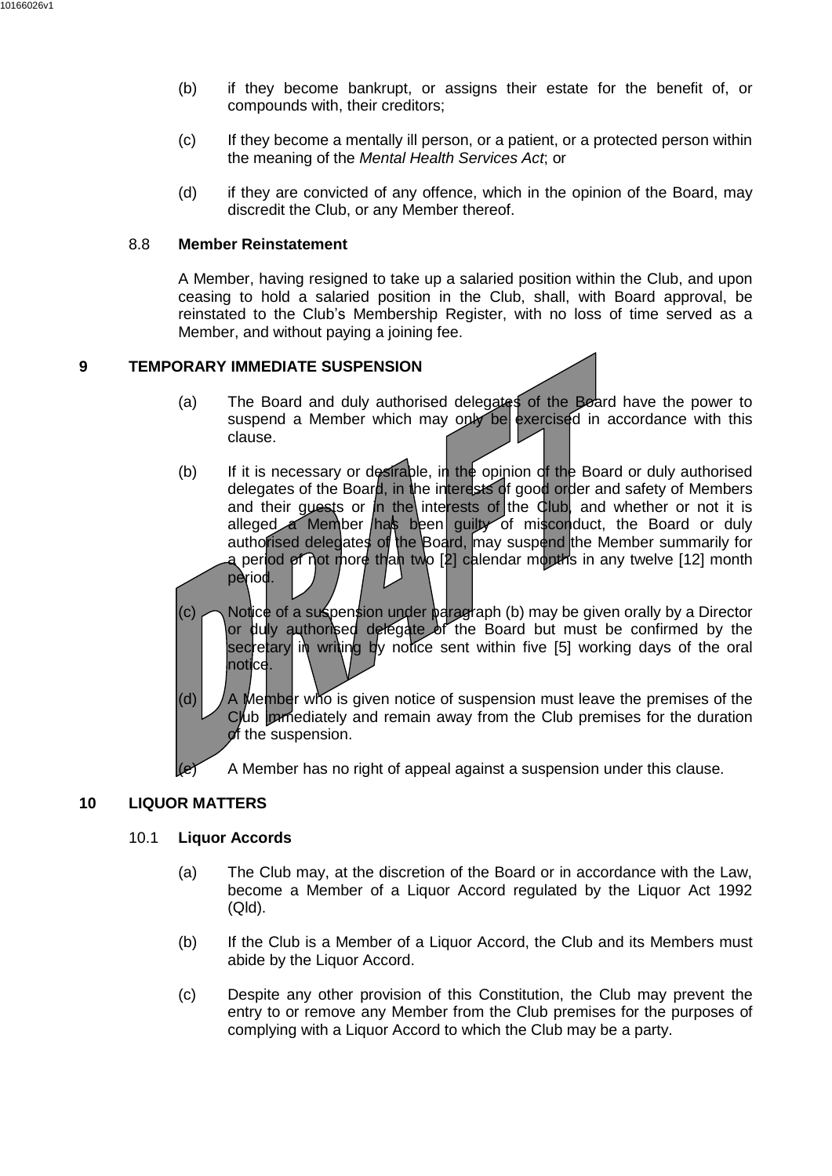- (b) if they become bankrupt, or assigns their estate for the benefit of, or compounds with, their creditors;
- (c) If they become a mentally ill person, or a patient, or a protected person within the meaning of the *Mental Health Services Act*; or
- (d) if they are convicted of any offence, which in the opinion of the Board, may discredit the Club, or any Member thereof.

#### 8.8 **Member Reinstatement**

A Member, having resigned to take up a salaried position within the Club, and upon ceasing to hold a salaried position in the Club, shall, with Board approval, be reinstated to the Club's Membership Register, with no loss of time served as a Member, and without paying a joining fee.

## <span id="page-13-0"></span>**9 TEMPORARY IMMEDIATE SUSPENSION**

- (a) The Board and duly authorised delegates of the Board have the power to suspend a Member which may only be exercised in accordance with this clause.
- <span id="page-13-2"></span>(b) If it is necessary or desirable, in the opinion of the Board or duly authorised delegates of the Board, in the interests of good order and safety of Members and their guests or in the interests of the Club, and whether or not it is alleged a Member has been guilty of misconduct, the Board or duly authorised delegates of the Board, may suspend the Member summarily for a period of not more than two [2] calendar months in any twelve [12] month period.
- (c)  $\bigcap$  Notice of a suspension under paragraph [\(b\)](#page-13-2) may be given orally by a Director or duly authorised delegate of the Board but must be confirmed by the secretary in writing by notice sent within five [5] working davs of the oral notice.
- (d)  $\sqrt{A}$  Member who is given notice of suspension must leave the premises of the Club immediately and remain away from the Club premises for the duration of the suspension.
- $(e)$  A Member has no right of appeal against a suspension under this clause.

## <span id="page-13-1"></span>**10 LIQUOR MATTERS**

#### 10.1 **Liquor Accords**

- (a) The Club may, at the discretion of the Board or in accordance with the Law, become a Member of a Liquor Accord regulated by the Liquor Act 1992 (Qld).
- (b) If the Club is a Member of a Liquor Accord, the Club and its Members must abide by the Liquor Accord.
- (c) Despite any other provision of this Constitution, the Club may prevent the entry to or remove any Member from the Club premises for the purposes of complying with a Liquor Accord to which the Club may be a party.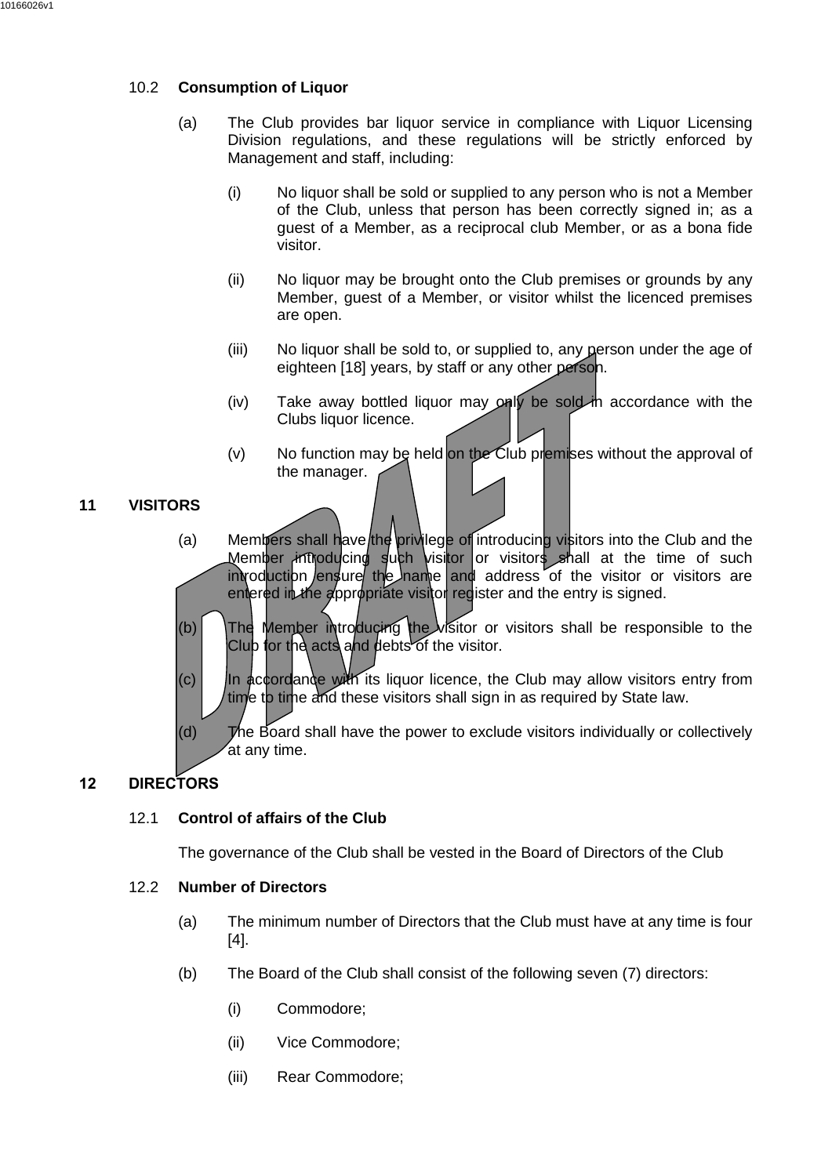## 10.2 **Consumption of Liquor**

- (a) The Club provides bar liquor service in compliance with Liquor Licensing Division regulations, and these regulations will be strictly enforced by Management and staff, including:
	- (i) No liquor shall be sold or supplied to any person who is not a Member of the Club, unless that person has been correctly signed in; as a guest of a Member, as a reciprocal club Member, or as a bona fide visitor.
	- (ii) No liquor may be brought onto the Club premises or grounds by any Member, guest of a Member, or visitor whilst the licenced premises are open.
	- (iii) No liquor shall be sold to, or supplied to, any person under the age of eighteen [18] years, by staff or any other person.
	- (iv) Take away bottled liquor may only be sold in accordance with the Clubs liquor licence.
	- $(v)$  No function may be held on the Club premises without the approval of the manager.

# <span id="page-14-0"></span>**11 VISITORS**

- (a) Members shall have the privilege of introducing visitors into the Club and the Member introducing such visitor or visitors shall at the time of such  $involution$  /ensure the name and address of the visitor or visitors are entered in the appropriate visitor register and the entry is signed.
- (b) The Member introducing the visitor or visitors shall be responsible to the Club for the acts and debts of the visitor.
- $(c)$  In accordance with its liquor licence, the Club may allow visitors entry from time to time and these visitors shall sign in as required by State law.
- (d) The Board shall have the power to exclude visitors individually or collectively at any time.

# <span id="page-14-1"></span>**12 DIRECTORS**

# 12.1 **Control of affairs of the Club**

The governance of the Club shall be vested in the Board of Directors of the Club

## 12.2 **Number of Directors**

- (a) The minimum number of Directors that the Club must have at any time is four [4].
- (b) The Board of the Club shall consist of the following seven (7) directors:
	- (i) Commodore;
	- (ii) Vice Commodore;
	- (iii) Rear Commodore;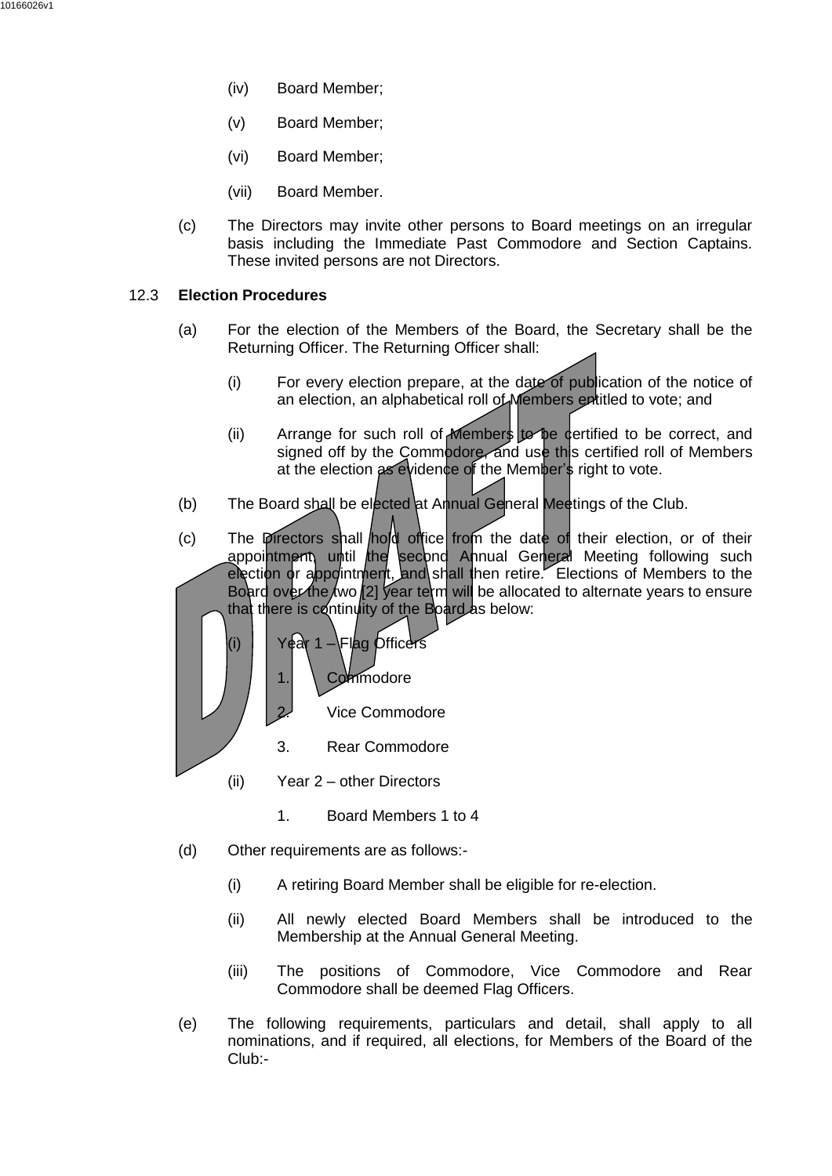- (iv) Board Member;
- (v) Board Member;
- (vi) Board Member;
- (vii) Board Member.
- (c) The Directors may invite other persons to Board meetings on an irregular basis including the Immediate Past Commodore and Section Captains. These invited persons are not Directors.

#### 12.3 **Election Procedures**

- (a) For the election of the Members of the Board, the Secretary shall be the Returning Officer. The Returning Officer shall:
	- (i) For every election prepare, at the date of publication of the notice of an election, an alphabetical roll of Members entitled to vote; and
	- (ii) Arrange for such roll of Members to be certified to be correct, and signed off by the Commodore, and use this certified roll of Members at the election as evidence of the Member's right to vote.
- (b) The Board shall be elected at Annual General Meetings of the Club.
- (c) The Directors shall hold office from the date of their election, or of their appointment, until the second Ahnual General Meeting following such election or appointment, and shall then retire. Elections of Members to the Board over the two [2] year term will be allocated to alternate years to ensure that there is continuity of the Board as below:



- (ii) Year 2 other Directors
	- 1. Board Members 1 to 4
- (d) Other requirements are as follows:-
	- (i) A retiring Board Member shall be eligible for re-election.
	- (ii) All newly elected Board Members shall be introduced to the Membership at the Annual General Meeting.
	- (iii) The positions of Commodore, Vice Commodore and Rear Commodore shall be deemed Flag Officers.
- (e) The following requirements, particulars and detail, shall apply to all nominations, and if required, all elections, for Members of the Board of the Club:-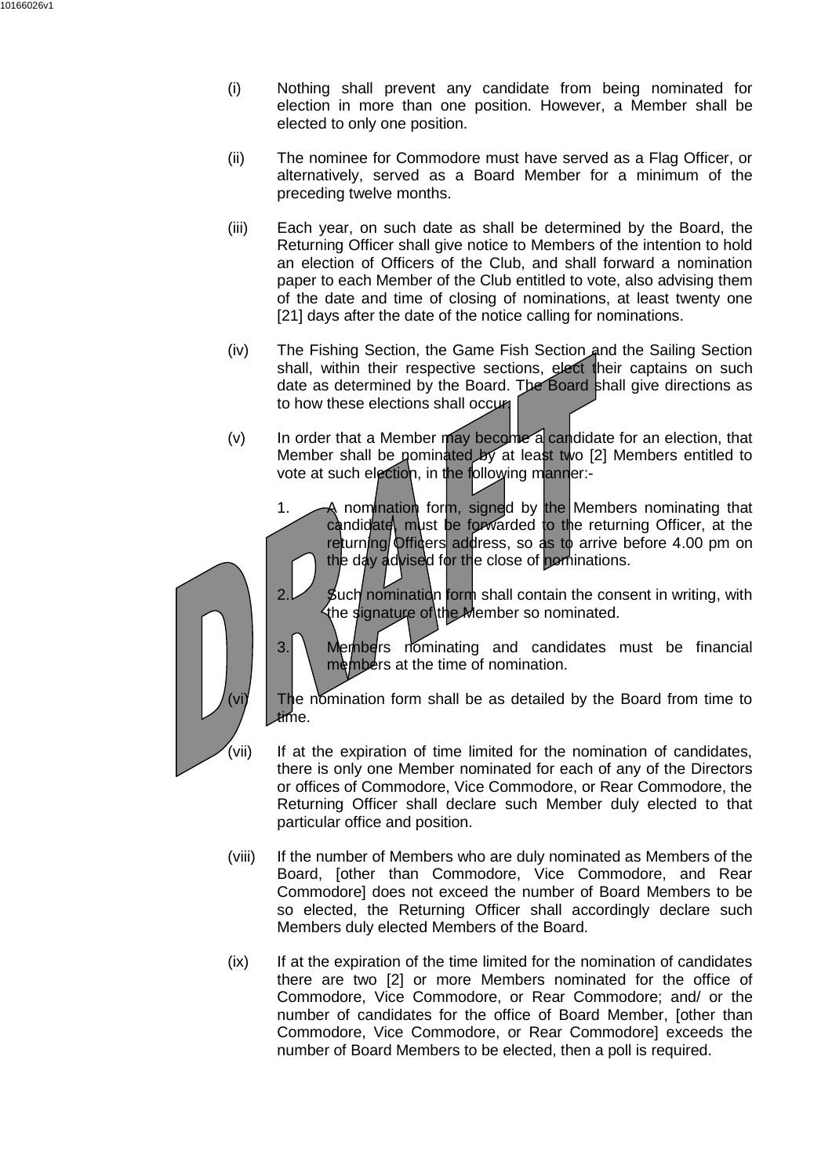- (i) Nothing shall prevent any candidate from being nominated for election in more than one position. However, a Member shall be elected to only one position.
- (ii) The nominee for Commodore must have served as a Flag Officer, or alternatively, served as a Board Member for a minimum of the preceding twelve months.
- (iii) Each year, on such date as shall be determined by the Board, the Returning Officer shall give notice to Members of the intention to hold an election of Officers of the Club, and shall forward a nomination paper to each Member of the Club entitled to vote, also advising them of the date and time of closing of nominations, at least twenty one [21] days after the date of the notice calling for nominations.
- (iv) The Fishing Section, the Game Fish Section and the Sailing Section shall, within their respective sections, elect their captains on such date as determined by the Board. The Board shall give directions as to how these elections shall occurr
- $(v)$  In order that a Member may become a candidate for an election, that Member shall be nominated by at least two [2] Members entitled to vote at such election, in the following manner:-
	- 1. A nomination form, signed by the Members nominating that candidate, must be forwarded to the returning Officer, at the returning Officers address, so as to arrive before 4.00 pm on the day advised for the close of pominations.



- $2.$  Such nomination form shall contain the consent in writing, with the signature of the Member so nominated.
- $3.$  Members nominating and candidates must be financial members at the time of nomination.

The nomination form shall be as detailed by the Board from time to time.

- (vii) If at the expiration of time limited for the nomination of candidates, there is only one Member nominated for each of any of the Directors or offices of Commodore, Vice Commodore, or Rear Commodore, the Returning Officer shall declare such Member duly elected to that particular office and position.
- (viii) If the number of Members who are duly nominated as Members of the Board, [other than Commodore, Vice Commodore, and Rear Commodore] does not exceed the number of Board Members to be so elected, the Returning Officer shall accordingly declare such Members duly elected Members of the Board.
- (ix) If at the expiration of the time limited for the nomination of candidates there are two [2] or more Members nominated for the office of Commodore, Vice Commodore, or Rear Commodore; and/ or the number of candidates for the office of Board Member, [other than Commodore, Vice Commodore, or Rear Commodore] exceeds the number of Board Members to be elected, then a poll is required.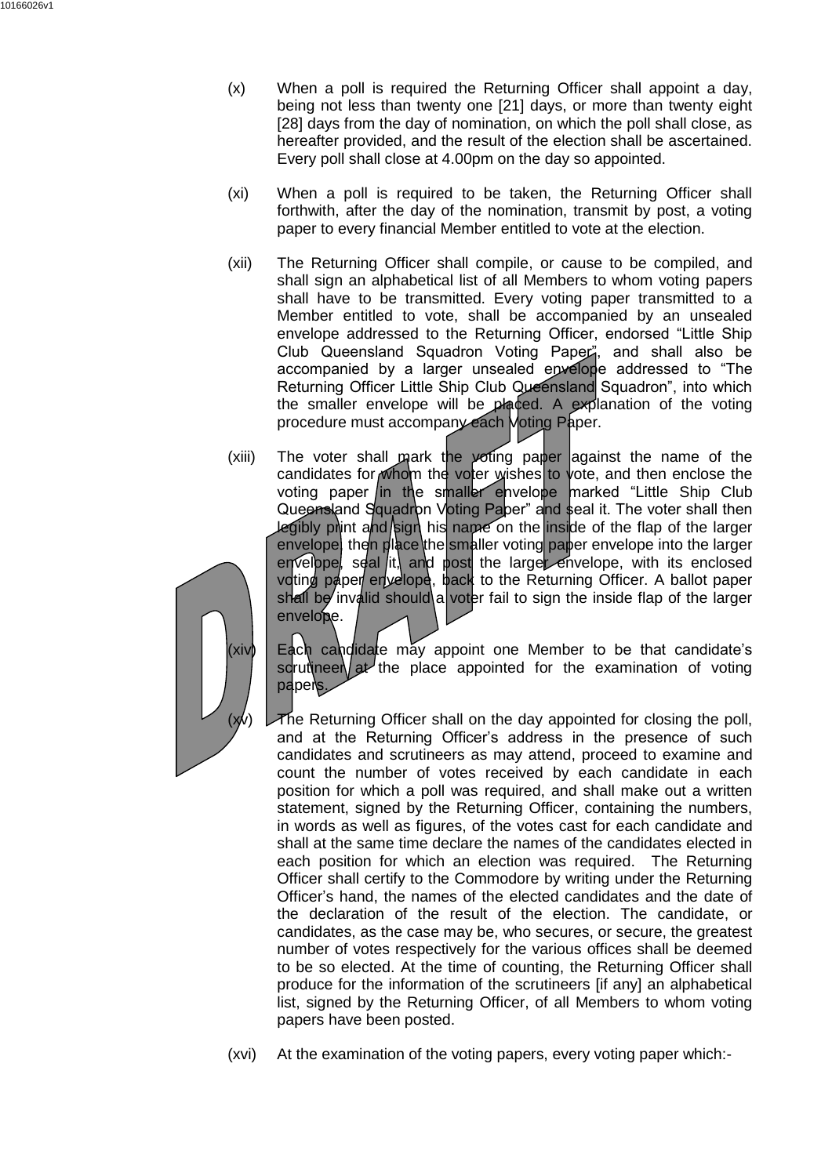- (x) When a poll is required the Returning Officer shall appoint a day, being not less than twenty one [21] days, or more than twenty eight [28] days from the day of nomination, on which the poll shall close, as hereafter provided, and the result of the election shall be ascertained. Every poll shall close at 4.00pm on the day so appointed.
- (xi) When a poll is required to be taken, the Returning Officer shall forthwith, after the day of the nomination, transmit by post, a voting paper to every financial Member entitled to vote at the election.
- (xii) The Returning Officer shall compile, or cause to be compiled, and shall sign an alphabetical list of all Members to whom voting papers shall have to be transmitted. Every voting paper transmitted to a Member entitled to vote, shall be accompanied by an unsealed envelope addressed to the Returning Officer, endorsed "Little Ship Club Queensland Squadron Voting Paper", and shall also be accompanied by a larger unsealed envelope addressed to "The Returning Officer Little Ship Club Queensland Squadron", into which the smaller envelope will be placed. A explanation of the voting procedure must accompany each Moting Paper.
- (xiii) The voter shall mark the voting paper against the name of the candidates for whom the voter wishes to vote, and then enclose the voting paper in the smaller envelope marked "Little Ship Club Queensland Squadron Voting Paper" and seal it. The voter shall then legibly print and sign his name on the inside of the flap of the larger envelope, then place the smaller voting paper envelope into the larger envelope, seal it, and post the larger envelope, with its enclosed voting paper envelope, back to the Returning Officer. A ballot paper shall be invalid should a voter fail to sign the inside flap of the larger envelope.



(xiv) Each candidate may appoint one Member to be that candidate's scrutineer at the place appointed for the examination of voting papers.

The Returning Officer shall on the day appointed for closing the poll, and at the Returning Officer's address in the presence of such candidates and scrutineers as may attend, proceed to examine and count the number of votes received by each candidate in each position for which a poll was required, and shall make out a written statement, signed by the Returning Officer, containing the numbers, in words as well as figures, of the votes cast for each candidate and shall at the same time declare the names of the candidates elected in each position for which an election was required. The Returning Officer shall certify to the Commodore by writing under the Returning Officer's hand, the names of the elected candidates and the date of the declaration of the result of the election. The candidate, or candidates, as the case may be, who secures, or secure, the greatest number of votes respectively for the various offices shall be deemed to be so elected. At the time of counting, the Returning Officer shall produce for the information of the scrutineers [if any] an alphabetical list, signed by the Returning Officer, of all Members to whom voting papers have been posted.

(xvi) At the examination of the voting papers, every voting paper which:-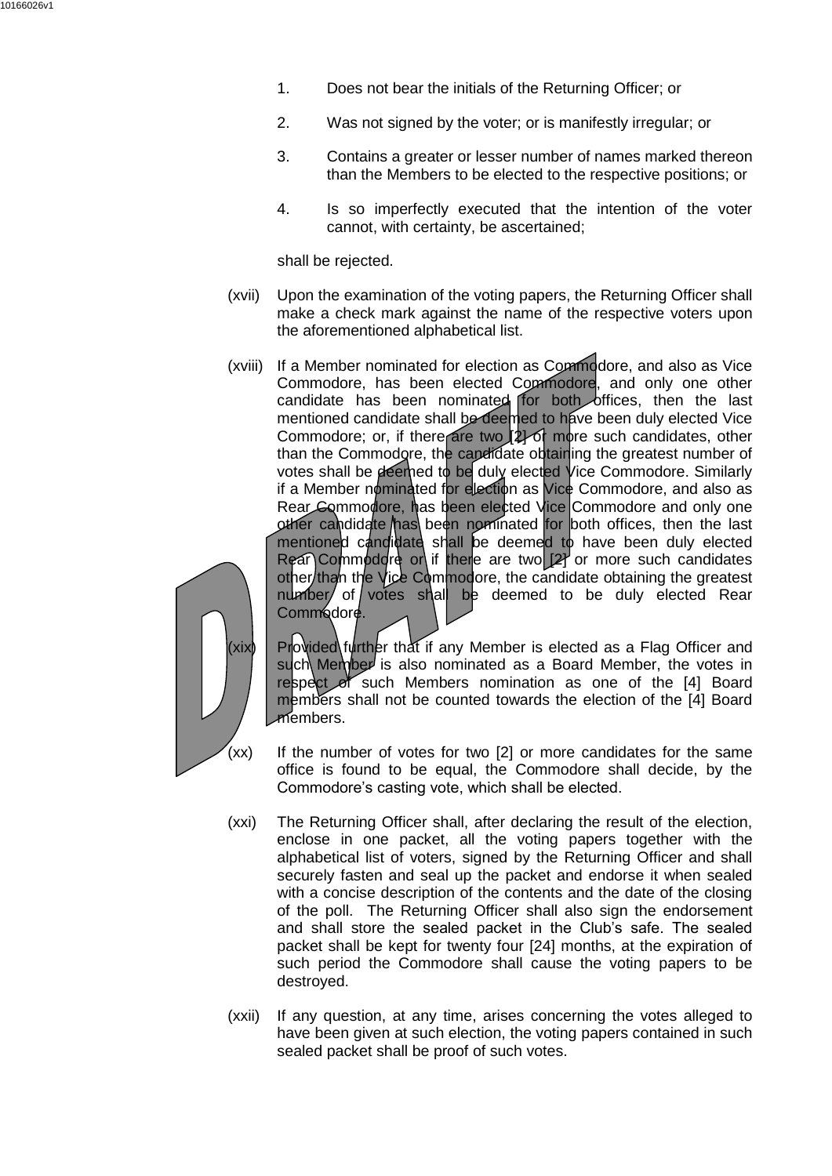- 1. Does not bear the initials of the Returning Officer; or
- 2. Was not signed by the voter; or is manifestly irregular; or
- 3. Contains a greater or lesser number of names marked thereon than the Members to be elected to the respective positions; or
- 4. Is so imperfectly executed that the intention of the voter cannot, with certainty, be ascertained;

shall be rejected.

- (xvii) Upon the examination of the voting papers, the Returning Officer shall make a check mark against the name of the respective voters upon the aforementioned alphabetical list.
- (xviii) If a Member nominated for election as Commodore, and also as Vice Commodore, has been elected Commodore, and only one other candidate has been nominated for both offices, then the last mentioned candidate shall be deemed to have been duly elected Vice Commodore; or, if there are two  $2$  of more such candidates, other than the Commodore, the candidate obtaining the greatest number of votes shall be deemed to be duly elected Vice Commodore. Similarly if a Member nominated for election as Vice Commodore, and also as Rear Commodore, has been elected Vice Commodore and only one other candidate has been nominated for both offices, then the last mentioned candidate shall be deemed to have been duly elected Rear Commodore or if there are two  $[2]$  or more such candidates other than the Vice Commodore, the candidate obtaining the greatest number of votes shall be deemed to be duly elected Rear Commodore.



(xix) Provided further that if any Member is elected as a Flag Officer and such Member is also nominated as a Board Member, the votes in respect of such Members nomination as one of the [4] Board members shall not be counted towards the election of the [4] Board members.

- (xx) If the number of votes for two [2] or more candidates for the same office is found to be equal, the Commodore shall decide, by the Commodore's casting vote, which shall be elected.
- (xxi) The Returning Officer shall, after declaring the result of the election, enclose in one packet, all the voting papers together with the alphabetical list of voters, signed by the Returning Officer and shall securely fasten and seal up the packet and endorse it when sealed with a concise description of the contents and the date of the closing of the poll. The Returning Officer shall also sign the endorsement and shall store the sealed packet in the Club's safe. The sealed packet shall be kept for twenty four [24] months, at the expiration of such period the Commodore shall cause the voting papers to be destroyed.
- (xxii) If any question, at any time, arises concerning the votes alleged to have been given at such election, the voting papers contained in such sealed packet shall be proof of such votes.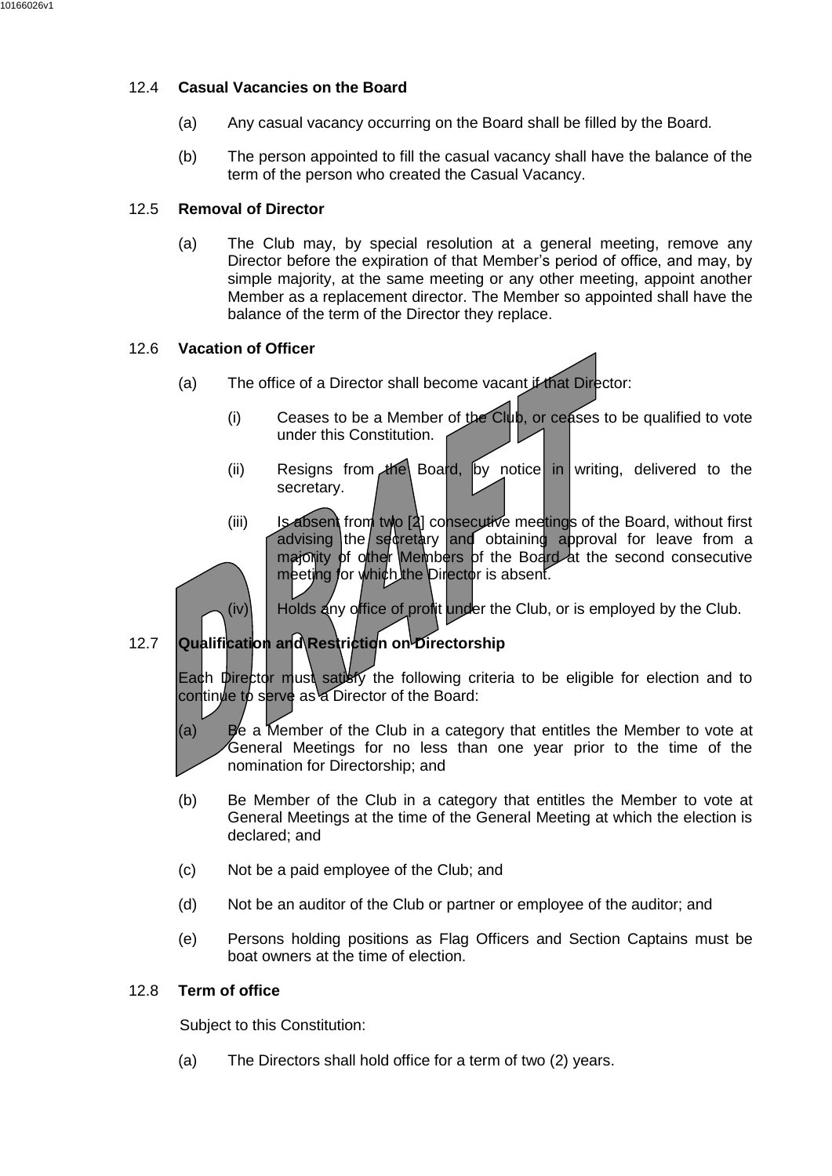## 12.4 **Casual Vacancies on the Board**

- (a) Any casual vacancy occurring on the Board shall be filled by the Board.
- (b) The person appointed to fill the casual vacancy shall have the balance of the term of the person who created the Casual Vacancy.

#### 12.5 **Removal of Director**

(a) The Club may, by special resolution at a general meeting, remove any Director before the expiration of that Member's period of office, and may, by simple majority, at the same meeting or any other meeting, appoint another Member as a replacement director. The Member so appointed shall have the balance of the term of the Director they replace.

#### 12.6 **Vacation of Officer**

- (a) The office of a Director shall become vacant if that Director:
	- (i) Ceases to be a Member of the Club, or ceases to be qualified to vote under this Constitution.
	- (ii) Resigns from the Board, by notice in writing, delivered to the secretary.
	- (iii) Is absent from two [2] consecutive meetings of the Board, without first advising the secretary and obtaining approval for leave from a majonity of other Members of the Board at the second consecutive meeting for which the Director is absent.

 $(iv)$  Holds any office of profit under the Club, or is employed by the Club.

# 12.7 **Qualification and Restriction on Directorship**

Each Director must satisty the following criteria to be eligible for election and to continue to serve as a Director of the Board:

(a) Be a Member of the Club in a category that entitles the Member to vote at General Meetings for no less than one year prior to the time of the nomination for Directorship; and

- (b) Be Member of the Club in a category that entitles the Member to vote at General Meetings at the time of the General Meeting at which the election is declared; and
- (c) Not be a paid employee of the Club; and
- (d) Not be an auditor of the Club or partner or employee of the auditor; and
- (e) Persons holding positions as Flag Officers and Section Captains must be boat owners at the time of election.

## 12.8 **Term of office**

Subject to this Constitution:

(a) The Directors shall hold office for a term of two (2) years.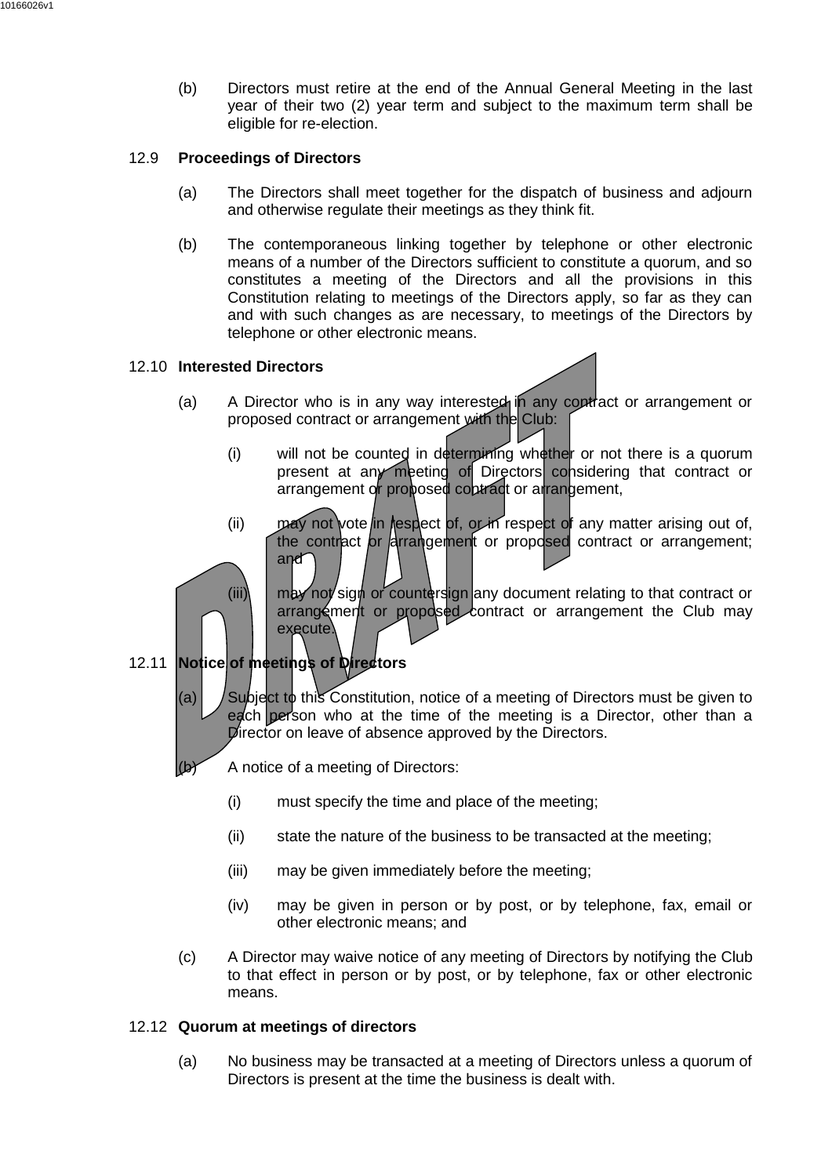(b) Directors must retire at the end of the Annual General Meeting in the last year of their two (2) year term and subject to the maximum term shall be eligible for re-election.

## 12.9 **Proceedings of Directors**

- (a) The Directors shall meet together for the dispatch of business and adjourn and otherwise regulate their meetings as they think fit.
- (b) The contemporaneous linking together by telephone or other electronic means of a number of the Directors sufficient to constitute a quorum, and so constitutes a meeting of the Directors and all the provisions in this Constitution relating to meetings of the Directors apply, so far as they can and with such changes as are necessary, to meetings of the Directors by telephone or other electronic means.

## 12.10 **Interested Directors**

- (a) A Director who is in any way interested in any contract or arrangement or proposed contract or arrangement with the Club:
	- (i) will not be counted in determining whether or not there is a quorum present at any meeting of Directors considering that contract or arrangement or proposed contract or arrangement,
	- (ii) may not vote in respect of, or in respect of any matter arising out of, the contract or arrangement or proposed contract or arrangement; and

(iii)  $\parallel$  may not sign or countersign any document relating to that contract or arrangement or proposed contract or arrangement the Club may execute.

# 12.11 **Notice of meetings of Directors**

(a)  $\vert$  Subject to this Constitution, notice of a meeting of Directors must be given to each person who at the time of the meeting is a Director, other than a Director on leave of absence approved by the Directors.

A notice of a meeting of Directors:

- (i) must specify the time and place of the meeting;
- (ii) state the nature of the business to be transacted at the meeting;
- (iii) may be given immediately before the meeting;
- (iv) may be given in person or by post, or by telephone, fax, email or other electronic means; and
- (c) A Director may waive notice of any meeting of Directors by notifying the Club to that effect in person or by post, or by telephone, fax or other electronic means.

## 12.12 **Quorum at meetings of directors**

(a) No business may be transacted at a meeting of Directors unless a quorum of Directors is present at the time the business is dealt with.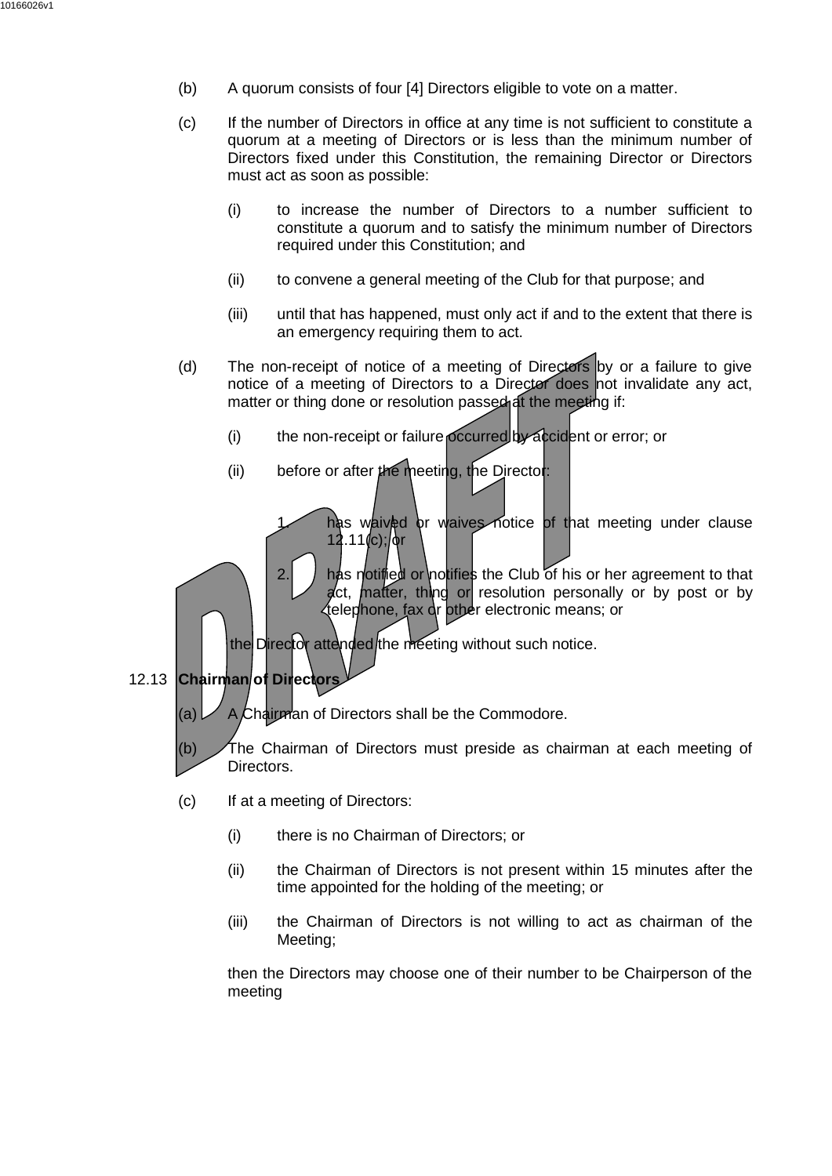- (b) A quorum consists of four [4] Directors eligible to vote on a matter.
- (c) If the number of Directors in office at any time is not sufficient to constitute a quorum at a meeting of Directors or is less than the minimum number of Directors fixed under this Constitution, the remaining Director or Directors must act as soon as possible:
	- (i) to increase the number of Directors to a number sufficient to constitute a quorum and to satisfy the minimum number of Directors required under this Constitution; and
	- (ii) to convene a general meeting of the Club for that purpose; and
	- (iii) until that has happened, must only act if and to the extent that there is an emergency requiring them to act.
- (d) The non-receipt of notice of a meeting of Directors by or a failure to give notice of a meeting of Directors to a Director does not invalidate any act, matter or thing done or resolution passed at the meeting if:
	- (i) the non-receipt or failure occurred by accident or error; or
	- (ii) before or after the meeting, the Director:
		- has waived or waives notice of that meeting under clause  $12.11(c)$ ;/ $\delta r$
		- 2.  $\parallel$  has notified or notifies the Club of his or her agreement to that act, matter, thing or resolution personally or by post or by telephone, fax or other electronic means; or
	- the Director attended the meeting without such notice.
- 12.13 **Chairman of Directors**

(a)  $\vee$  A Chairman of Directors shall be the Commodore.

- (b) The Chairman of Directors must preside as chairman at each meeting of Directors.
- (c) If at a meeting of Directors:
	- (i) there is no Chairman of Directors; or
	- (ii) the Chairman of Directors is not present within 15 minutes after the time appointed for the holding of the meeting; or
	- (iii) the Chairman of Directors is not willing to act as chairman of the Meeting;

then the Directors may choose one of their number to be Chairperson of the meeting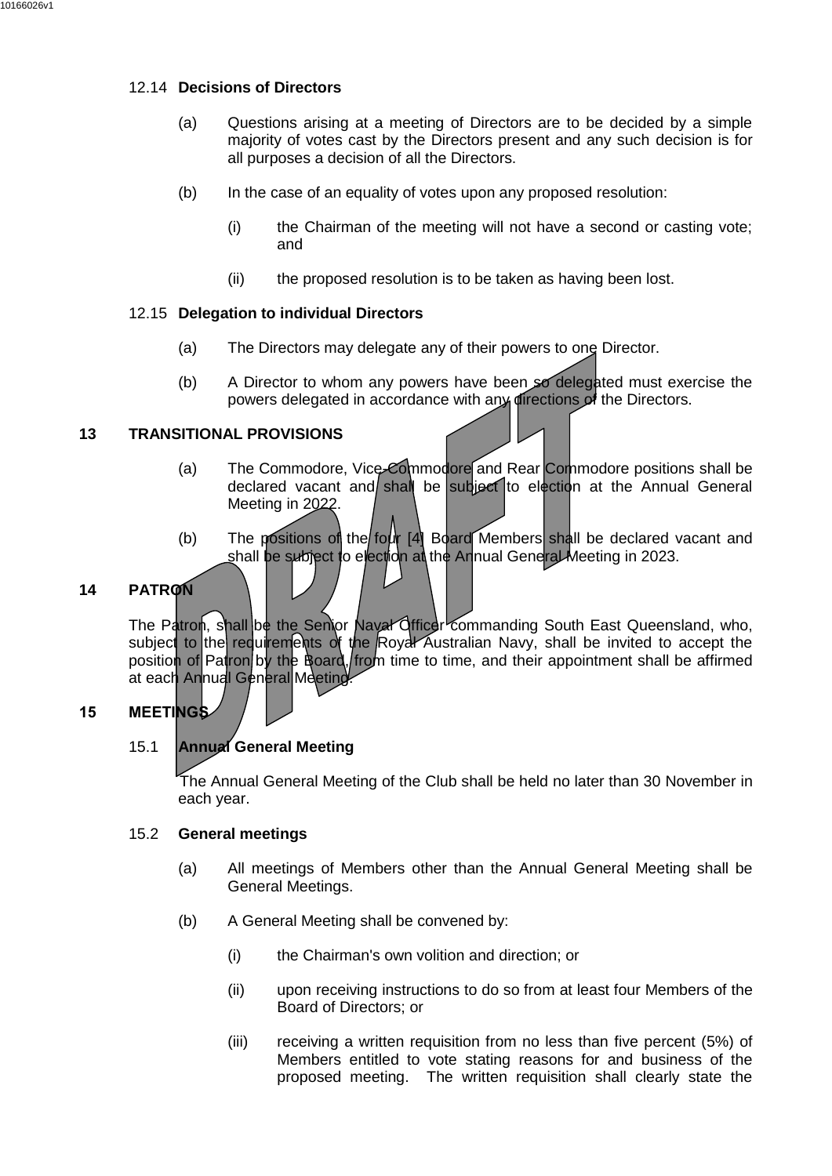## 12.14 **Decisions of Directors**

- (a) Questions arising at a meeting of Directors are to be decided by a simple majority of votes cast by the Directors present and any such decision is for all purposes a decision of all the Directors.
- (b) In the case of an equality of votes upon any proposed resolution:
	- (i) the Chairman of the meeting will not have a second or casting vote; and
	- (ii) the proposed resolution is to be taken as having been lost.

## 12.15 **Delegation to individual Directors**

- (a) The Directors may delegate any of their powers to one Director.
- (b) A Director to whom any powers have been so delegated must exercise the powers delegated in accordance with any directions of the Directors.

#### <span id="page-22-0"></span>**13 TRANSITIONAL PROVISIONS**

- (a) The Commodore, Vice-Commodore and Rear Commodore positions shall be declared vacant and shall be subject to election at the Annual General Meeting in 2022.
- (b) The positions of the four  $[4]$  Board Members shall be declared vacant and shall be subject to election at the Annual General Meeting in 2023.

## <span id="page-22-1"></span>**14 PATRON**

The Patron, shall be the Senior Naval Officer commanding South East Queensland, who, subject to the requirements of the Royal Australian Navy, shall be invited to accept the position of Patron by the Board, from time to time, and their appointment shall be affirmed at each Annual General Meeting.

## <span id="page-22-2"></span>**15 MEETINGS**

## 15.1 **Annual General Meeting**

The Annual General Meeting of the Club shall be held no later than 30 November in each year.

#### 15.2 **General meetings**

- (a) All meetings of Members other than the Annual General Meeting shall be General Meetings.
- (b) A General Meeting shall be convened by:
	- (i) the Chairman's own volition and direction; or
	- (ii) upon receiving instructions to do so from at least four Members of the Board of Directors; or
	- (iii) receiving a written requisition from no less than five percent (5%) of Members entitled to vote stating reasons for and business of the proposed meeting. The written requisition shall clearly state the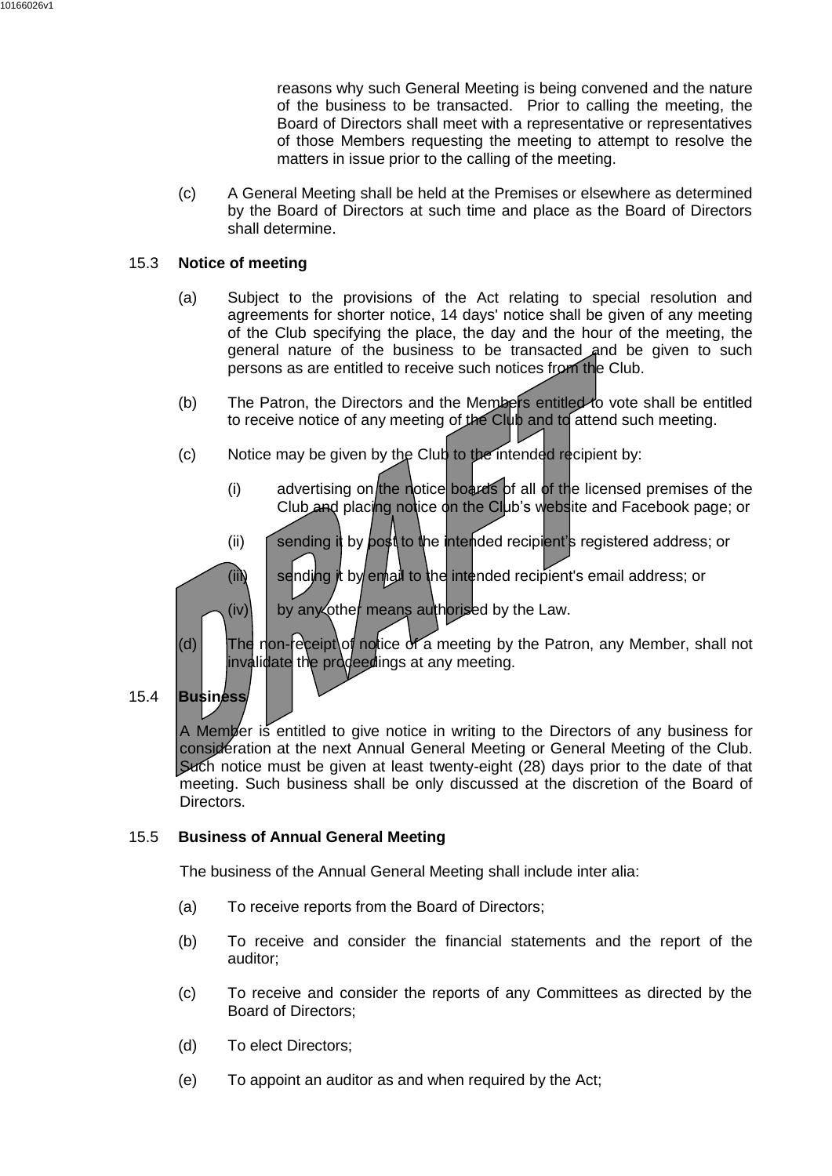reasons why such General Meeting is being convened and the nature of the business to be transacted. Prior to calling the meeting, the Board of Directors shall meet with a representative or representatives of those Members requesting the meeting to attempt to resolve the matters in issue prior to the calling of the meeting.

(c) A General Meeting shall be held at the Premises or elsewhere as determined by the Board of Directors at such time and place as the Board of Directors shall determine.

#### 15.3 **Notice of meeting**

- (a) Subject to the provisions of the Act relating to special resolution and agreements for shorter notice, 14 days' notice shall be given of any meeting of the Club specifying the place, the day and the hour of the meeting, the general nature of the business to be transacted and be given to such persons as are entitled to receive such notices from the Club.
- (b) The Patron, the Directors and the Members entitled to vote shall be entitled to receive notice of any meeting of the Club and to attend such meeting.
- (c) Notice may be given by the Club to the intended recipient by:
	- (i) advertising on the notice boards of all of the licensed premises of the Club and placing notice on the Club's website and Facebook page; or
	- (ii) sending it by post to the intended recipient's registered address; or

(iii)  $\parallel$  sending it by email to the intended recipient's email address; or

- $(iv)$  by any other means authorised by the Law.
- (d) The non-receipt of notice of a meeting by the Patron, any Member, shall not invalidate the prodeedings at any meeting.
- 15.4 **Business**

A Member is entitled to give notice in writing to the Directors of any business for consideration at the next Annual General Meeting or General Meeting of the Club. Such notice must be given at least twenty-eight (28) days prior to the date of that meeting. Such business shall be only discussed at the discretion of the Board of Directors.

## 15.5 **Business of Annual General Meeting**

The business of the Annual General Meeting shall include inter alia:

- (a) To receive reports from the Board of Directors;
- (b) To receive and consider the financial statements and the report of the auditor;
- (c) To receive and consider the reports of any Committees as directed by the Board of Directors;
- (d) To elect Directors;
- (e) To appoint an auditor as and when required by the Act;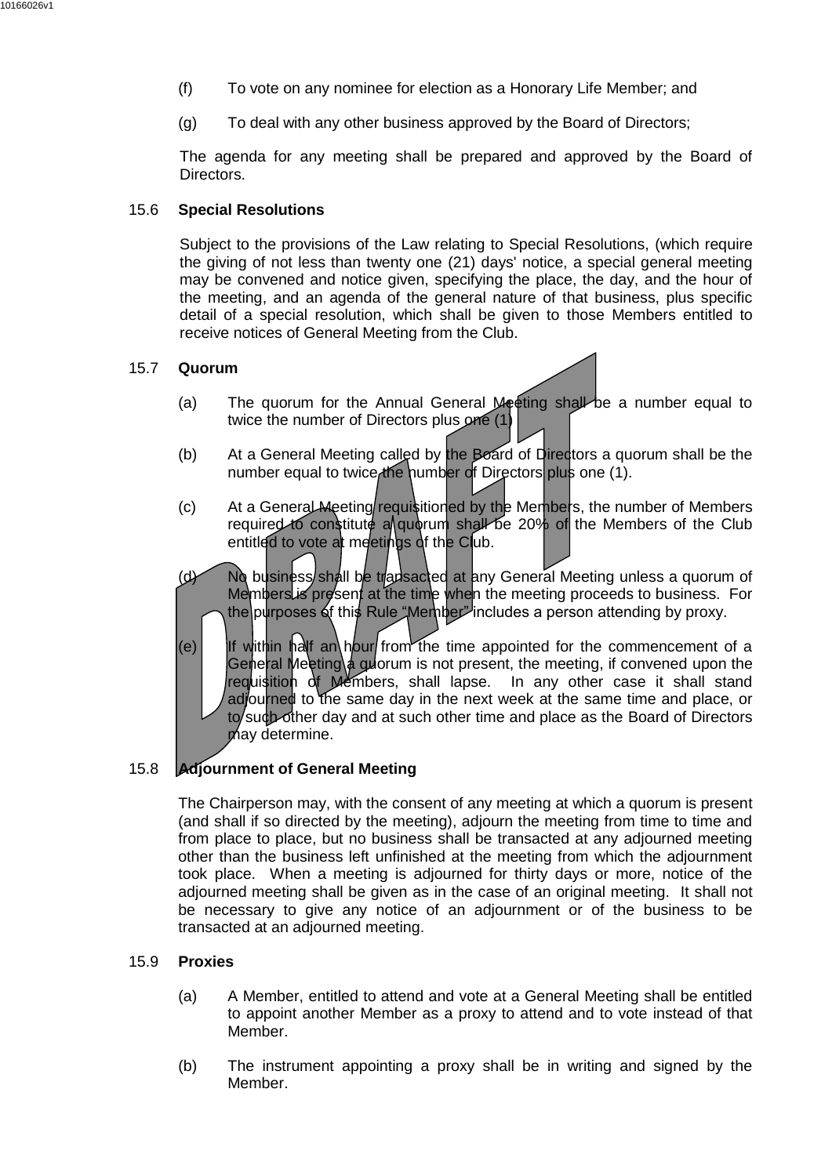- (f) To vote on any nominee for election as a Honorary Life Member; and
- (g) To deal with any other business approved by the Board of Directors;

The agenda for any meeting shall be prepared and approved by the Board of Directors.

#### 15.6 **Special Resolutions**

Subject to the provisions of the Law relating to Special Resolutions, (which require the giving of not less than twenty one (21) days' notice, a special general meeting may be convened and notice given, specifying the place, the day, and the hour of the meeting, and an agenda of the general nature of that business, plus specific detail of a special resolution, which shall be given to those Members entitled to receive notices of General Meeting from the Club.

#### 15.7 **Quorum**

- (a) The quorum for the Annual General Meeting shall be a number equal to twice the number of Directors plus one (1)
- (b) At a General Meeting called by the Board of Directors a quorum shall be the number equal to twice the number of Directors plus one (1).
- (c) At a General Meeting requisitioned by the Members, the number of Members required to constitute a quorum shall be 20% of the Members of the Club entitled to vote at meetings of the Club.
- (d) No business shall be tradsacted at any General Meeting unless a quorum of Members is present at the time when the meeting proceeds to business. For the purposes of this Rule "Member" includes a person attending by proxy.
- (e) I If within half an hour from the time appointed for the commencement of a General Meeting a guorum is not present, the meeting, if convened upon the requisition of Members, shall lapse. In any other case it shall stand adjourned to the same day in the next week at the same time and place, or to such other day and at such other time and place as the Board of Directors may determine.

#### 15.8 **Adjournment of General Meeting**

The Chairperson may, with the consent of any meeting at which a quorum is present (and shall if so directed by the meeting), adjourn the meeting from time to time and from place to place, but no business shall be transacted at any adjourned meeting other than the business left unfinished at the meeting from which the adjournment took place. When a meeting is adjourned for thirty days or more, notice of the adjourned meeting shall be given as in the case of an original meeting. It shall not be necessary to give any notice of an adjournment or of the business to be transacted at an adjourned meeting.

#### 15.9 **Proxies**

- (a) A Member, entitled to attend and vote at a General Meeting shall be entitled to appoint another Member as a proxy to attend and to vote instead of that Member.
- (b) The instrument appointing a proxy shall be in writing and signed by the Member.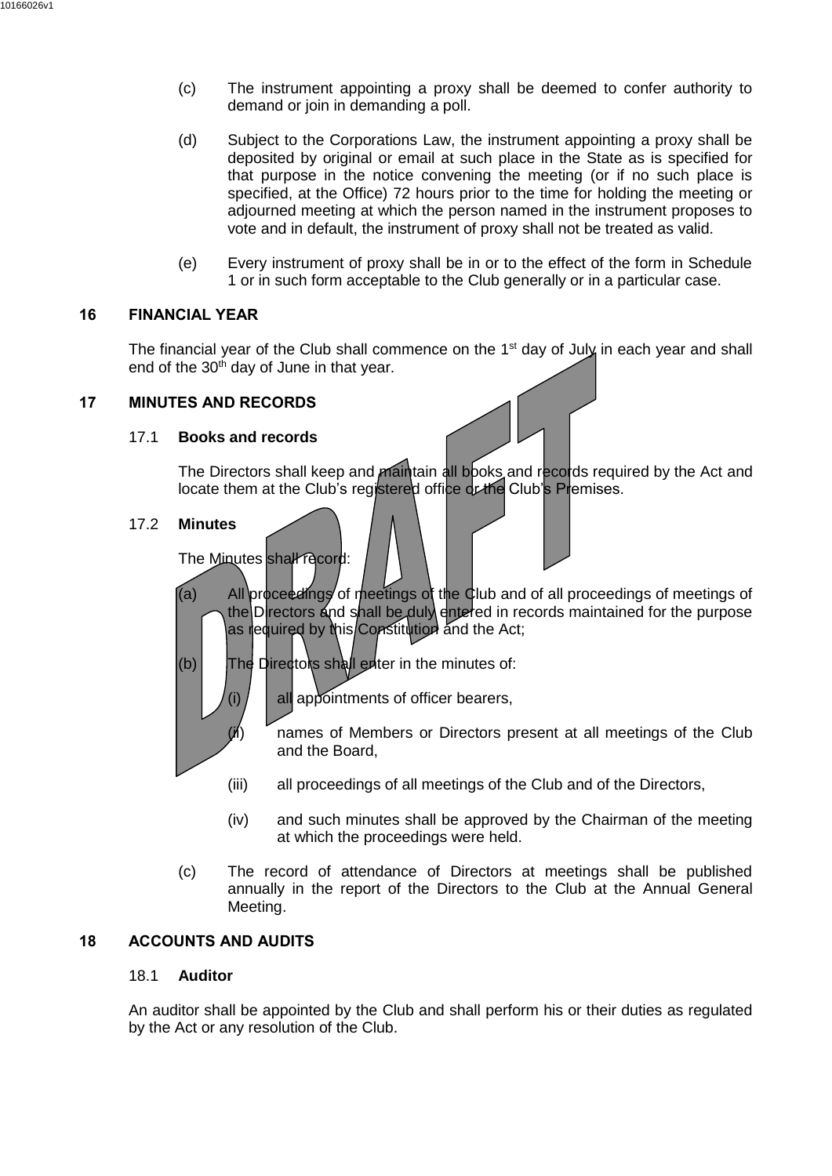- (c) The instrument appointing a proxy shall be deemed to confer authority to demand or join in demanding a poll.
- (d) Subject to the Corporations Law, the instrument appointing a proxy shall be deposited by original or email at such place in the State as is specified for that purpose in the notice convening the meeting (or if no such place is specified, at the Office) 72 hours prior to the time for holding the meeting or adjourned meeting at which the person named in the instrument proposes to vote and in default, the instrument of proxy shall not be treated as valid.
- (e) Every instrument of proxy shall be in or to the effect of the form in Schedule 1 or in such form acceptable to the Club generally or in a particular case.

#### <span id="page-25-0"></span>**16 FINANCIAL YEAR**

The financial year of the Club shall commence on the 1<sup>st</sup> day of July in each year and shall end of the  $30<sup>th</sup>$  day of June in that year.

#### <span id="page-25-1"></span>**17 MINUTES AND RECORDS**

#### 17.1 **Books and records**

The Directors shall keep and maintain all books and records required by the Act and locate them at the Club's registered office or the Club's Premises.

#### 17.2 **Minutes**

The Minutes shall record:

- (a) All proceedings of meetings of the Club and of all proceedings of meetings of the Directors and shall be duly entered in records maintained for the purpose as required by this Constitution and the Act;
- $(b)$  The Directors shall enter in the minutes of:

(i)  $\left| \right|$  all appointments of officer bearers,

- $(h)$  names of Members or Directors present at all meetings of the Club and the Board,
- (iii) all proceedings of all meetings of the Club and of the Directors,
- (iv) and such minutes shall be approved by the Chairman of the meeting at which the proceedings were held.
- (c) The record of attendance of Directors at meetings shall be published annually in the report of the Directors to the Club at the Annual General Meeting.

## <span id="page-25-2"></span>**18 ACCOUNTS AND AUDITS**

#### 18.1 **Auditor**

An auditor shall be appointed by the Club and shall perform his or their duties as regulated by the Act or any resolution of the Club.

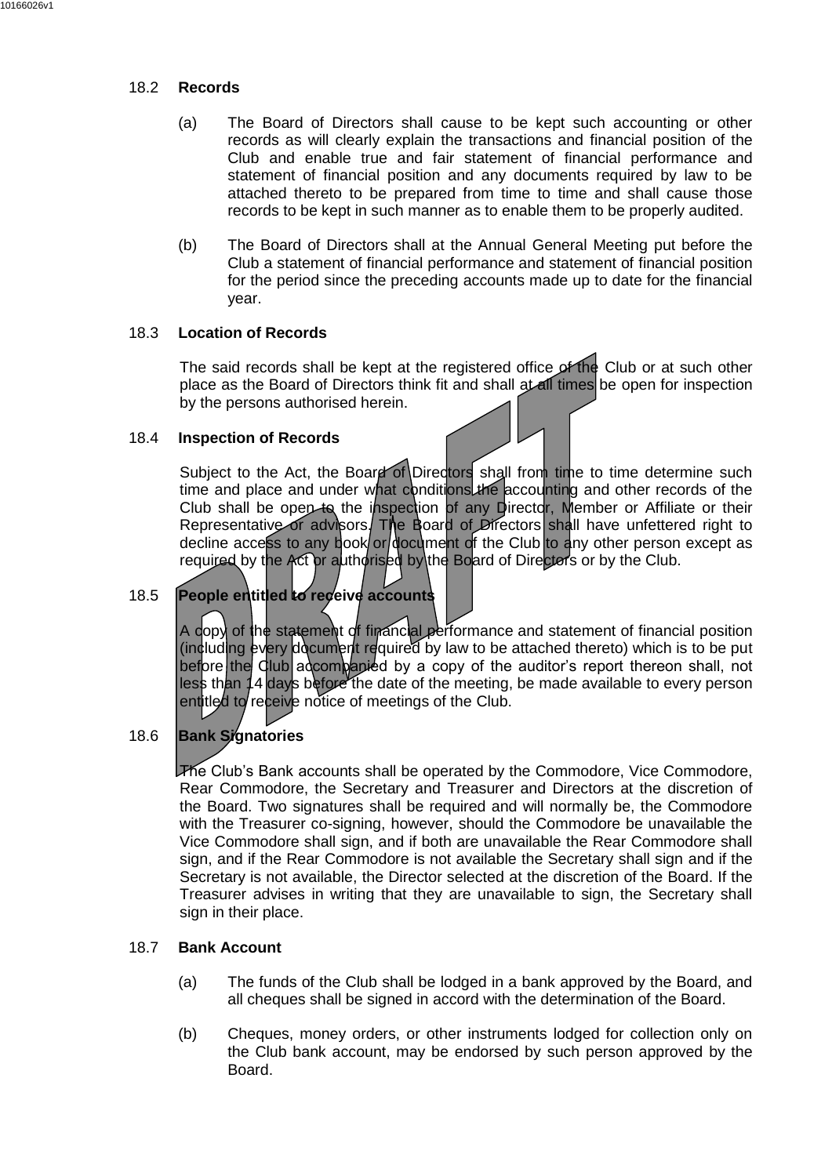## 18.2 **Records**

- (a) The Board of Directors shall cause to be kept such accounting or other records as will clearly explain the transactions and financial position of the Club and enable true and fair statement of financial performance and statement of financial position and any documents required by law to be attached thereto to be prepared from time to time and shall cause those records to be kept in such manner as to enable them to be properly audited.
- (b) The Board of Directors shall at the Annual General Meeting put before the Club a statement of financial performance and statement of financial position for the period since the preceding accounts made up to date for the financial year.

## 18.3 **Location of Records**

The said records shall be kept at the registered office of the Club or at such other place as the Board of Directors think fit and shall at all times be open for inspection by the persons authorised herein.

## 18.4 **Inspection of Records**

Subject to the Act, the Board of Directors shall from time to time determine such time and place and under what conditions the accounting and other records of the Club shall be open to the inspection of any Director, Member or Affiliate or their Representative or advisors. The Board of Directors shall have unfettered right to decline access to any book or document of the Club to any other person except as required by the Act or authorised by the Board of Directors or by the Club.

# 18.5 **People entitled to receive accounts**

A copy of the statement of financial performance and statement of financial position (including every document required by law to be attached thereto) which is to be put before the Club accompanied by a copy of the auditor's report thereon shall, not less than 14 days before the date of the meeting, be made available to every person entitled to receive notice of meetings of the Club.

## 18.6 **Bank Signatories**

The Club's Bank accounts shall be operated by the Commodore, Vice Commodore, Rear Commodore, the Secretary and Treasurer and Directors at the discretion of the Board. Two signatures shall be required and will normally be, the Commodore with the Treasurer co-signing, however, should the Commodore be unavailable the Vice Commodore shall sign, and if both are unavailable the Rear Commodore shall sign, and if the Rear Commodore is not available the Secretary shall sign and if the Secretary is not available, the Director selected at the discretion of the Board. If the Treasurer advises in writing that they are unavailable to sign, the Secretary shall sign in their place.

## <span id="page-26-0"></span>18.7 **Bank Account**

- (a) The funds of the Club shall be lodged in a bank approved by the Board, and all cheques shall be signed in accord with the determination of the Board.
- (b) Cheques, money orders, or other instruments lodged for collection only on the Club bank account, may be endorsed by such person approved by the Board.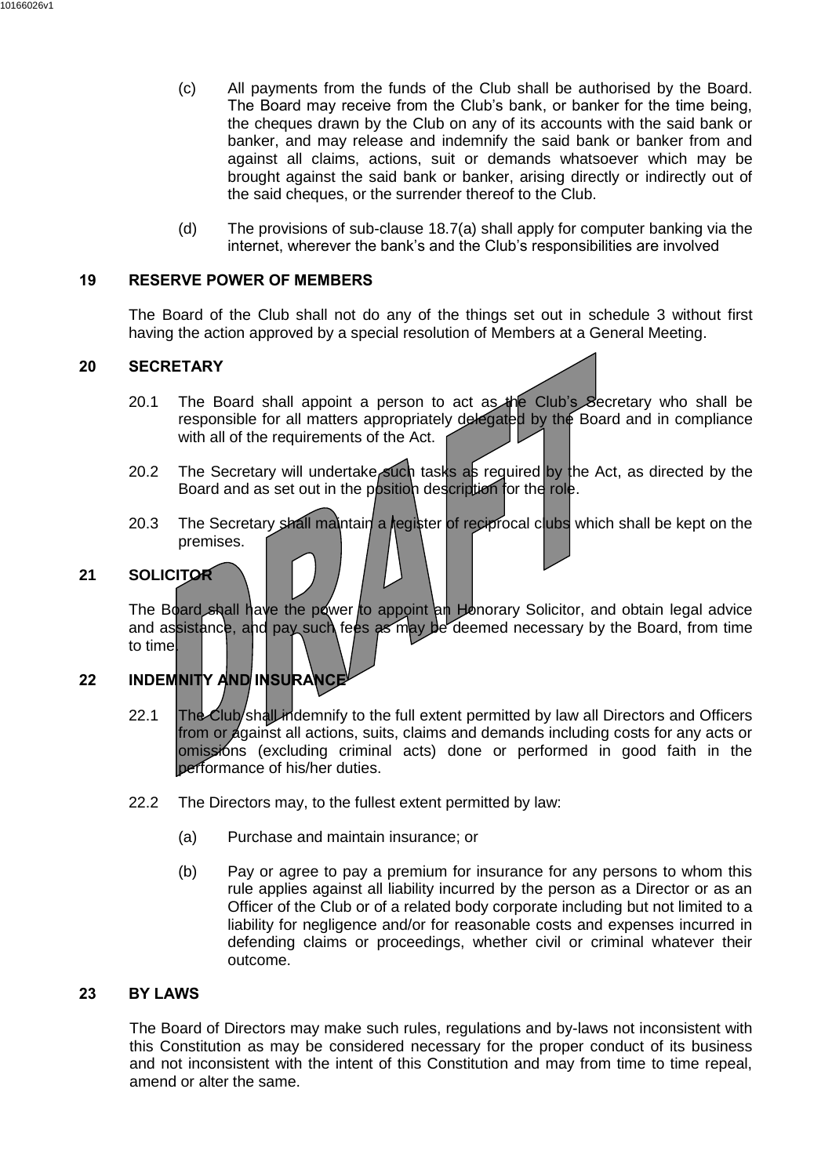- (c) All payments from the funds of the Club shall be authorised by the Board. The Board may receive from the Club's bank, or banker for the time being, the cheques drawn by the Club on any of its accounts with the said bank or banker, and may release and indemnify the said bank or banker from and against all claims, actions, suit or demands whatsoever which may be brought against the said bank or banker, arising directly or indirectly out of the said cheques, or the surrender thereof to the Club.
- (d) The provisions of sub-clause [18.7\(a\)](#page-26-0) shall apply for computer banking via the internet, wherever the bank's and the Club's responsibilities are involved

## <span id="page-27-0"></span>**19 RESERVE POWER OF MEMBERS**

The Board of the Club shall not do any of the things set out in schedule 3 without first having the action approved by a special resolution of Members at a General Meeting.

#### <span id="page-27-1"></span>**20 SECRETARY**

- 20.1 The Board shall appoint a person to act as the Club's Secretary who shall be responsible for all matters appropriately delegated by the Board and in compliance with all of the requirements of the Act.
- 20.2 The Secretary will undertake such tasks as required by the Act, as directed by the Board and as set out in the position description for the role.
- 20.3 The Secretary shall maintain a register of reciprocal clubs which shall be kept on the premises.

## <span id="page-27-2"></span>**21 SOLICITOR**

The Board shall have the power to appoint an Honorary Solicitor, and obtain legal advice and assistance, and pay such fees as may be deemed necessary by the Board, from time to time

# <span id="page-27-3"></span>**22 INDEMNITY AND INSURANCE**

- 22.1 The Club/shall indemnify to the full extent permitted by law all Directors and Officers from or against all actions, suits, claims and demands including costs for any acts or omissións (excluding criminal acts) done or performed in good faith in the performance of his/her duties.
- 22.2 The Directors may, to the fullest extent permitted by law:
	- (a) Purchase and maintain insurance; or
	- (b) Pay or agree to pay a premium for insurance for any persons to whom this rule applies against all liability incurred by the person as a Director or as an Officer of the Club or of a related body corporate including but not limited to a liability for negligence and/or for reasonable costs and expenses incurred in defending claims or proceedings, whether civil or criminal whatever their outcome.

#### <span id="page-27-4"></span>**23 BY LAWS**

The Board of Directors may make such rules, regulations and by-laws not inconsistent with this Constitution as may be considered necessary for the proper conduct of its business and not inconsistent with the intent of this Constitution and may from time to time repeal, amend or alter the same.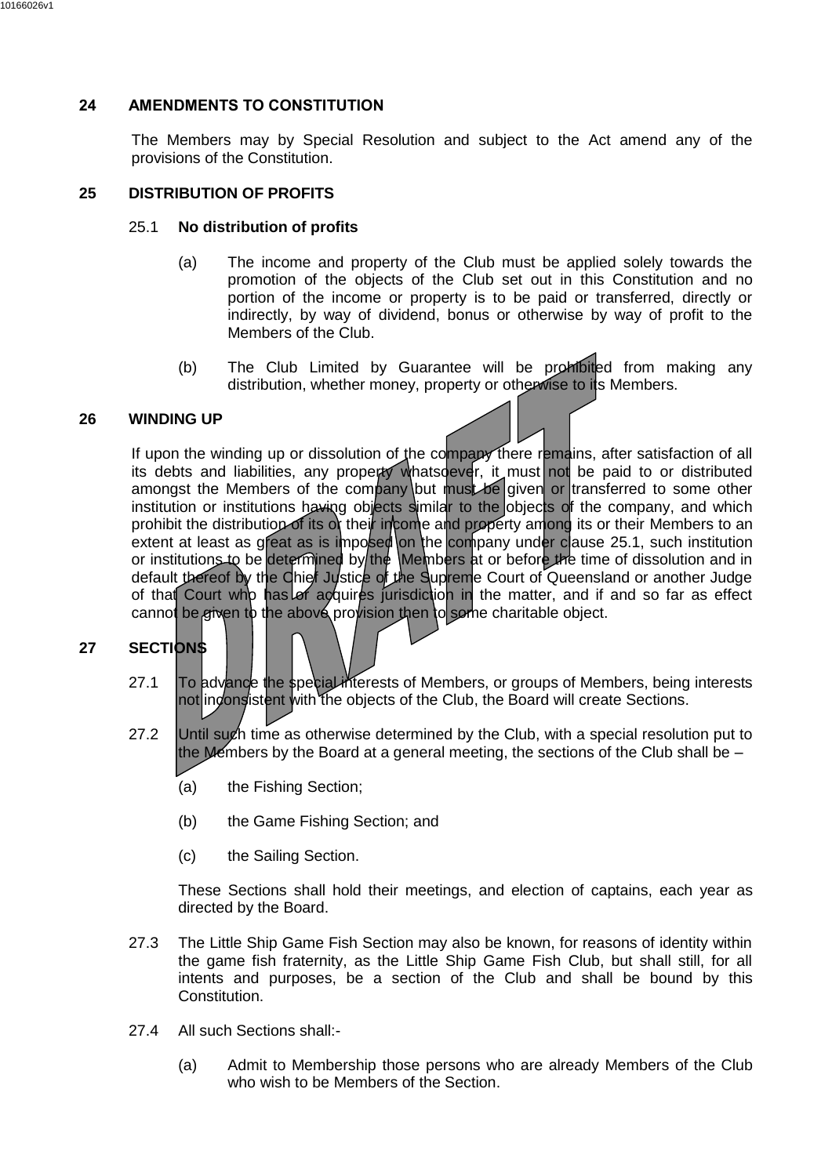# <span id="page-28-0"></span>**24 AMENDMENTS TO CONSTITUTION**

The Members may by Special Resolution and subject to the Act amend any of the provisions of the Constitution.

## <span id="page-28-4"></span><span id="page-28-1"></span>**25 DISTRIBUTION OF PROFITS**

## 25.1 **No distribution of profits**

- (a) The income and property of the Club must be applied solely towards the promotion of the objects of the Club set out in this Constitution and no portion of the income or property is to be paid or transferred, directly or indirectly, by way of dividend, bonus or otherwise by way of profit to the Members of the Club.
- (b) The Club Limited by Guarantee will be prohibited from making any distribution, whether money, property or otherwise to its Members.

## <span id="page-28-2"></span>**26 WINDING UP**

If upon the winding up or dissolution of the company there remains, after satisfaction of all its debts and liabilities, any property whatsoever, it must not be paid to or distributed amongst the Members of the company but must be given or transferred to some other institution or institutions having objects similar to the objects of the company, and which prohibit the distribution of its or their income and property among its or their Members to an extent at least as great as is imposed on the company under clause [25.1,](#page-28-4) such institution or institutions to be determined by the Members at or before the time of dissolution and in default thereof by the Chief Justice of the Supreme Court of Queensland or another Judge of that Court who has of acquires jurisdiction in the matter, and if and so far as effect cannot be given to the above provision then to some charitable object.

# <span id="page-28-3"></span>**27 SECTIONS**

- 27.1 To advance the special interests of Members, or groups of Members, being interests not inconsistent with the objects of the Club, the Board will create Sections.
- 27.2 Until such time as otherwise determined by the Club, with a special resolution put to the Members by the Board at a general meeting, the sections of the Club shall be  $-$ 
	- (a) the Fishing Section;
	- (b) the Game Fishing Section; and
	- (c) the Sailing Section.

These Sections shall hold their meetings, and election of captains, each year as directed by the Board.

- 27.3 The Little Ship Game Fish Section may also be known, for reasons of identity within the game fish fraternity, as the Little Ship Game Fish Club, but shall still, for all intents and purposes, be a section of the Club and shall be bound by this Constitution.
- 27.4 All such Sections shall:-
	- (a) Admit to Membership those persons who are already Members of the Club who wish to be Members of the Section.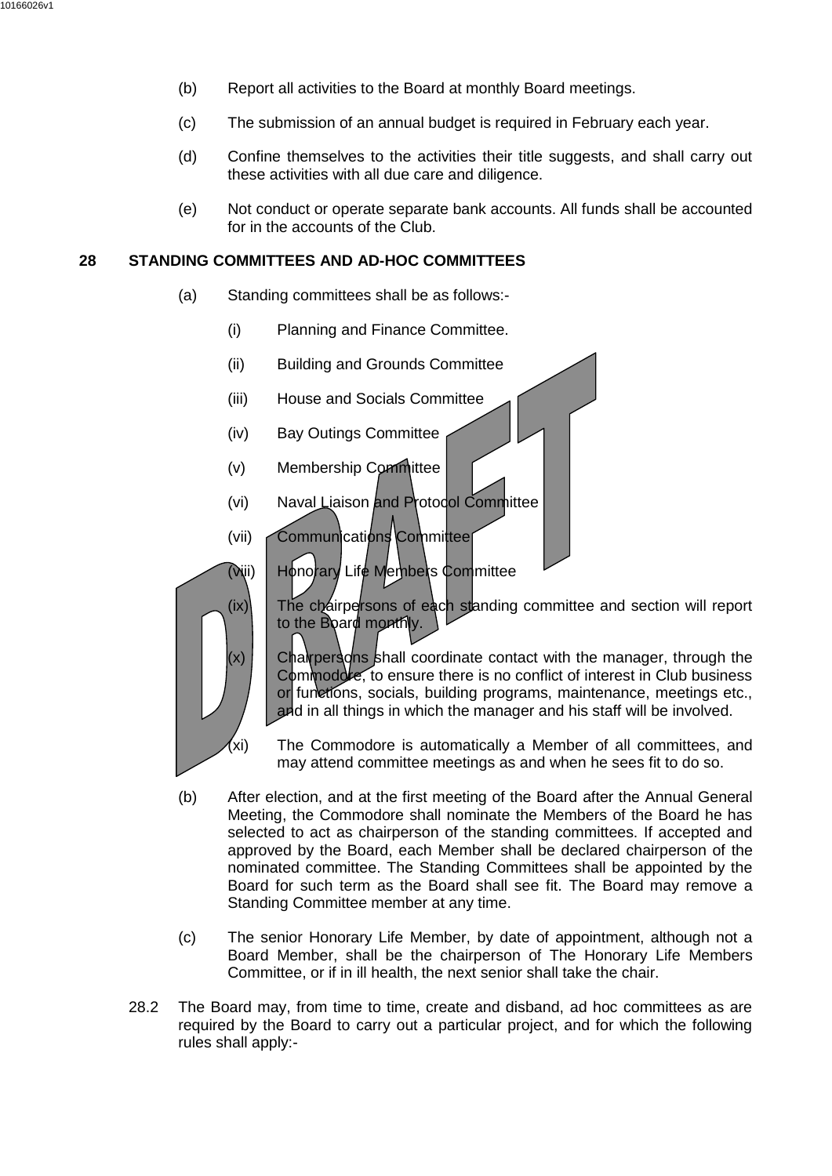- (b) Report all activities to the Board at monthly Board meetings.
- (c) The submission of an annual budget is required in February each year.
- (d) Confine themselves to the activities their title suggests, and shall carry out these activities with all due care and diligence.
- (e) Not conduct or operate separate bank accounts. All funds shall be accounted for in the accounts of the Club.

# <span id="page-29-0"></span>**28 STANDING COMMITTEES AND AD-HOC COMMITTEES**

- (a) Standing committees shall be as follows:-
	- (i) Planning and Finance Committee.
	- (ii) Building and Grounds Committee
	- (iii) House and Socials Committee
	- (iv) Bay Outings Committee
	- (v) Membership Committee
	- (vi) Naval Liaison and Protocol Committee
	- (vii) Communications Committee
	- (viii) Honorary Life Members Committee



- $(ix)$  The chairpersons of each standing committee and section will report to the Board monthly.
- $(x)$  Chairpersons shall coordinate contact with the manager, through the Commodore, to ensure there is no conflict of interest in Club business or functions, socials, building programs, maintenance, meetings etc., and in all things in which the manager and his staff will be involved.
- (xi) The Commodore is automatically a Member of all committees, and may attend committee meetings as and when he sees fit to do so.
- (b) After election, and at the first meeting of the Board after the Annual General Meeting, the Commodore shall nominate the Members of the Board he has selected to act as chairperson of the standing committees. If accepted and approved by the Board, each Member shall be declared chairperson of the nominated committee. The Standing Committees shall be appointed by the Board for such term as the Board shall see fit. The Board may remove a Standing Committee member at any time.
- (c) The senior Honorary Life Member, by date of appointment, although not a Board Member, shall be the chairperson of The Honorary Life Members Committee, or if in ill health, the next senior shall take the chair.
- 28.2 The Board may, from time to time, create and disband, ad hoc committees as are required by the Board to carry out a particular project, and for which the following rules shall apply:-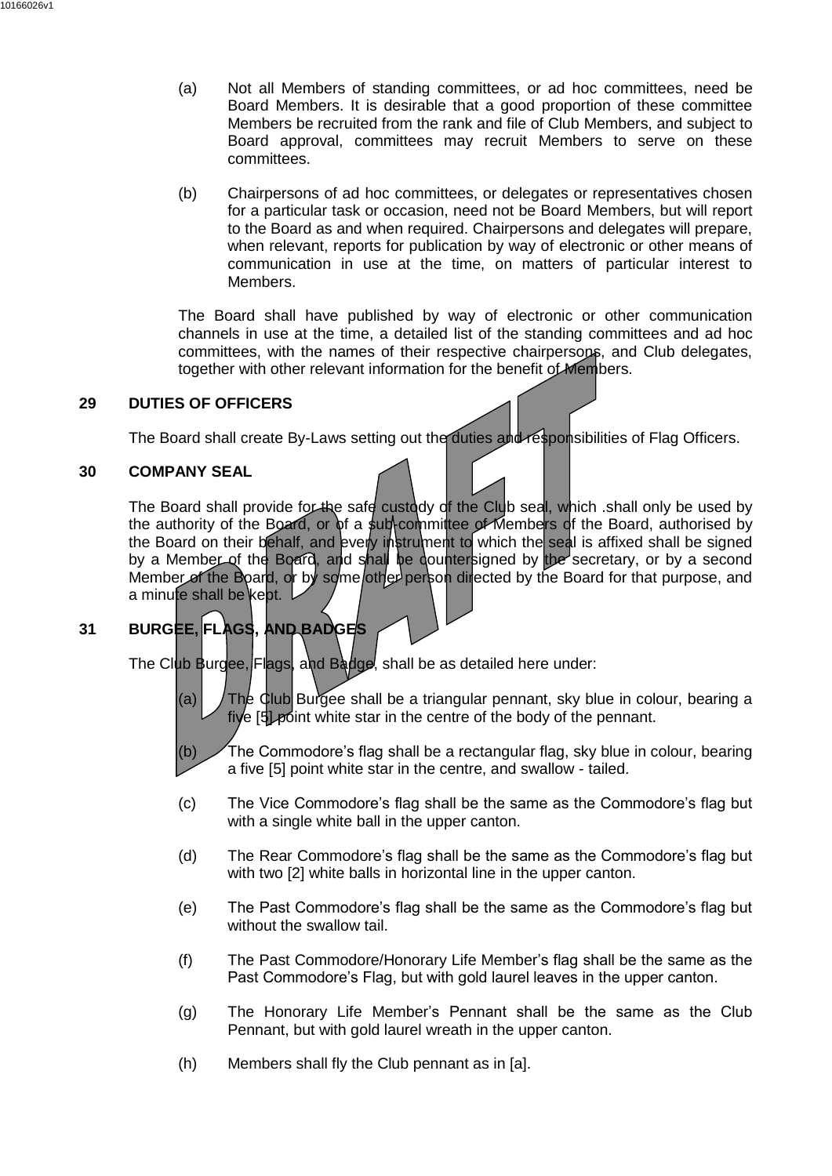- (a) Not all Members of standing committees, or ad hoc committees, need be Board Members. It is desirable that a good proportion of these committee Members be recruited from the rank and file of Club Members, and subject to Board approval, committees may recruit Members to serve on these committees.
- (b) Chairpersons of ad hoc committees, or delegates or representatives chosen for a particular task or occasion, need not be Board Members, but will report to the Board as and when required. Chairpersons and delegates will prepare, when relevant, reports for publication by way of electronic or other means of communication in use at the time, on matters of particular interest to Members.

The Board shall have published by way of electronic or other communication channels in use at the time, a detailed list of the standing committees and ad hoc committees, with the names of their respective chairpersons, and Club delegates, together with other relevant information for the benefit of Members.

#### <span id="page-30-0"></span>**29 DUTIES OF OFFICERS**

The Board shall create By-Laws setting out the duties and responsibilities of Flag Officers.

#### <span id="page-30-1"></span>**30 COMPANY SEAL**

The Board shall provide for the safe custody of the Club seal, which shall only be used by the authority of the Board, or of a sub-committee of Members of the Board, authorised by the Board on their behalf, and every instrument to which the seal is affixed shall be signed by a Member of the Board, and shall be dountersigned by the secretary, or by a second Member of the Board, or by some other person directed by the Board for that purpose, and a minute shall be kept.

# <span id="page-30-2"></span>**31 BURGEE, FLAGS, AND BADGES**

The Club Burgee, Flags, and Badge, shall be as detailed here under:

- (a)  $\int$  The Club Burgee shall be a triangular pennant, sky blue in colour, bearing a five [5] point white star in the centre of the body of the pennant.
- (b) The Commodore's flag shall be a rectangular flag, sky blue in colour, bearing a five [5] point white star in the centre, and swallow - tailed.
- (c) The Vice Commodore's flag shall be the same as the Commodore's flag but with a single white ball in the upper canton.
- (d) The Rear Commodore's flag shall be the same as the Commodore's flag but with two [2] white balls in horizontal line in the upper canton.
- (e) The Past Commodore's flag shall be the same as the Commodore's flag but without the swallow tail.
- (f) The Past Commodore/Honorary Life Member's flag shall be the same as the Past Commodore's Flag, but with gold laurel leaves in the upper canton.
- (g) The Honorary Life Member's Pennant shall be the same as the Club Pennant, but with gold laurel wreath in the upper canton.
- (h) Members shall fly the Club pennant as in [a].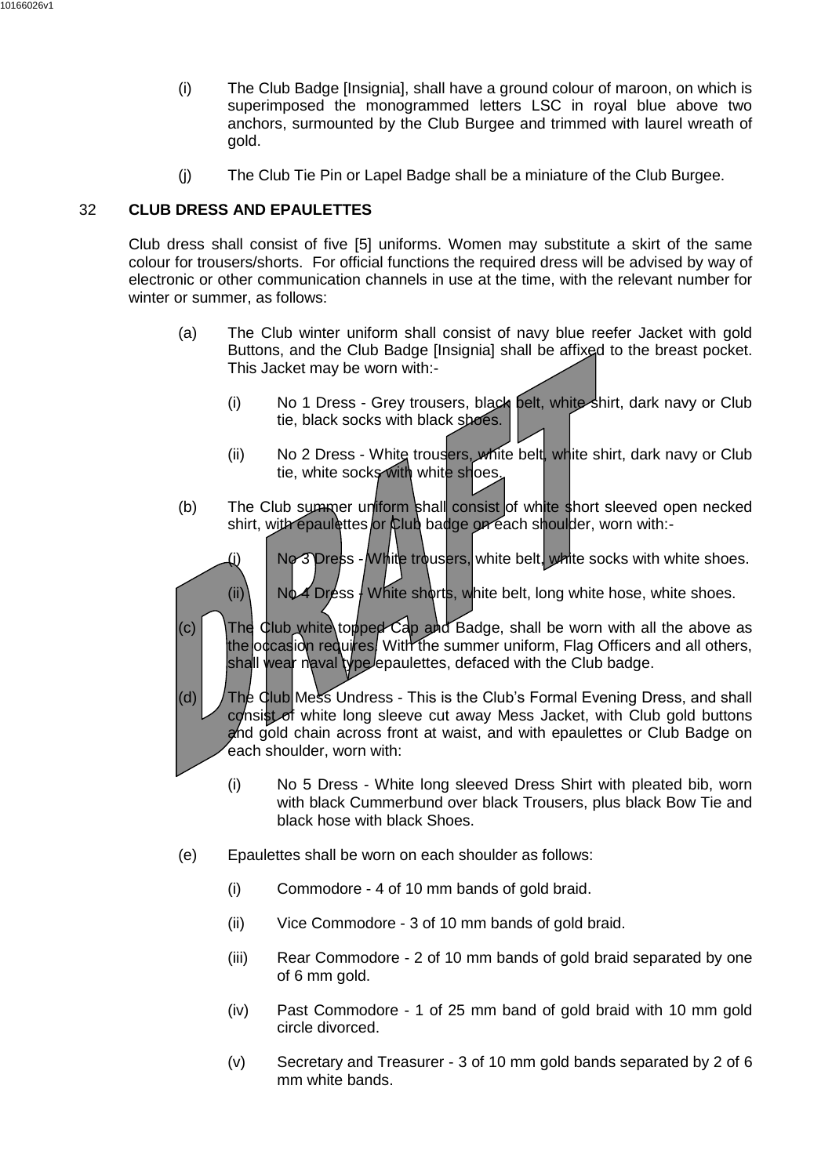- (i) The Club Badge [Insignia], shall have a ground colour of maroon, on which is superimposed the monogrammed letters LSC in royal blue above two anchors, surmounted by the Club Burgee and trimmed with laurel wreath of gold.
- (j) The Club Tie Pin or Lapel Badge shall be a miniature of the Club Burgee.

# <span id="page-31-0"></span>32 **CLUB DRESS AND EPAULETTES**

Club dress shall consist of five [5] uniforms. Women may substitute a skirt of the same colour for trousers/shorts. For official functions the required dress will be advised by way of electronic or other communication channels in use at the time, with the relevant number for winter or summer, as follows:

- (a) The Club winter uniform shall consist of navy blue reefer Jacket with gold Buttons, and the Club Badge [Insignia] shall be affixed to the breast pocket. This Jacket may be worn with:-
	- (i) No 1 Dress Grey trousers, black belt, white shirt, dark navy or Club tie, black socks with black shoes.
	- (ii) No 2 Dress White trousers, white belt, white shirt, dark navy or Club tie, white socks with white shoes.
- (b) The Club summer uniform shall consist of white short sleeved open necked shirt, with epaulettes or Club badge on each shoulder, worn with:-
	- $(i)$  No 3 Dress White trousers, white belt, white socks with white shoes.
	- (ii)  $\bigcup$  No4 Dress  $\bigcup$  White shorts, white belt, long white hose, white shoes.
- (c) The Club white topped Cap and Badge, shall be worn with all the above as the occasion requires. With the summer uniform, Flag Officers and all others, shall wear naval type epaulettes, defaced with the Club badge.
- (d)  $\int$  The Club Mess Undress This is the Club's Formal Evening Dress, and shall consist of white long sleeve cut away Mess Jacket, with Club gold buttons and gold chain across front at waist, and with epaulettes or Club Badge on each shoulder, worn with:
	- (i) No 5 Dress White long sleeved Dress Shirt with pleated bib, worn with black Cummerbund over black Trousers, plus black Bow Tie and black hose with black Shoes.
- (e) Epaulettes shall be worn on each shoulder as follows:
	- (i) Commodore 4 of 10 mm bands of gold braid.
	- (ii) Vice Commodore 3 of 10 mm bands of gold braid.
	- (iii) Rear Commodore 2 of 10 mm bands of gold braid separated by one of 6 mm gold.
	- (iv) Past Commodore 1 of 25 mm band of gold braid with 10 mm gold circle divorced.
	- (v) Secretary and Treasurer 3 of 10 mm gold bands separated by 2 of 6 mm white bands.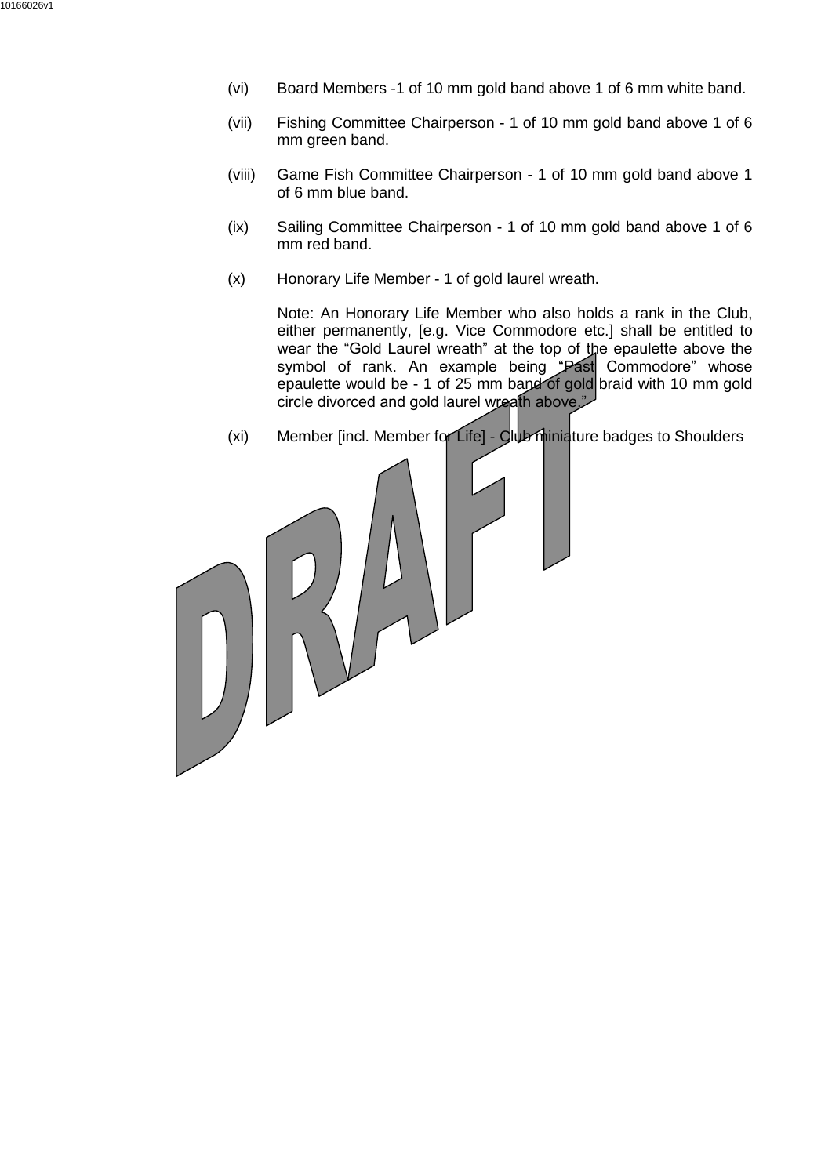- (vi) Board Members -1 of 10 mm gold band above 1 of 6 mm white band.
- (vii) Fishing Committee Chairperson 1 of 10 mm gold band above 1 of 6 mm green band.
- (viii) Game Fish Committee Chairperson 1 of 10 mm gold band above 1 of 6 mm blue band.
- (ix) Sailing Committee Chairperson 1 of 10 mm gold band above 1 of 6 mm red band.
- (x) Honorary Life Member 1 of gold laurel wreath.

Note: An Honorary Life Member who also holds a rank in the Club, either permanently, [e.g. Vice Commodore etc.] shall be entitled to wear the "Gold Laurel wreath" at the top of the epaulette above the symbol of rank. An example being "Past Commodore" whose epaulette would be - 1 of 25 mm band of gold braid with 10 mm gold circle divorced and gold laurel wreath above."

(xi) Member [incl. Member for Life] - Cub minimizature badges to Shoulders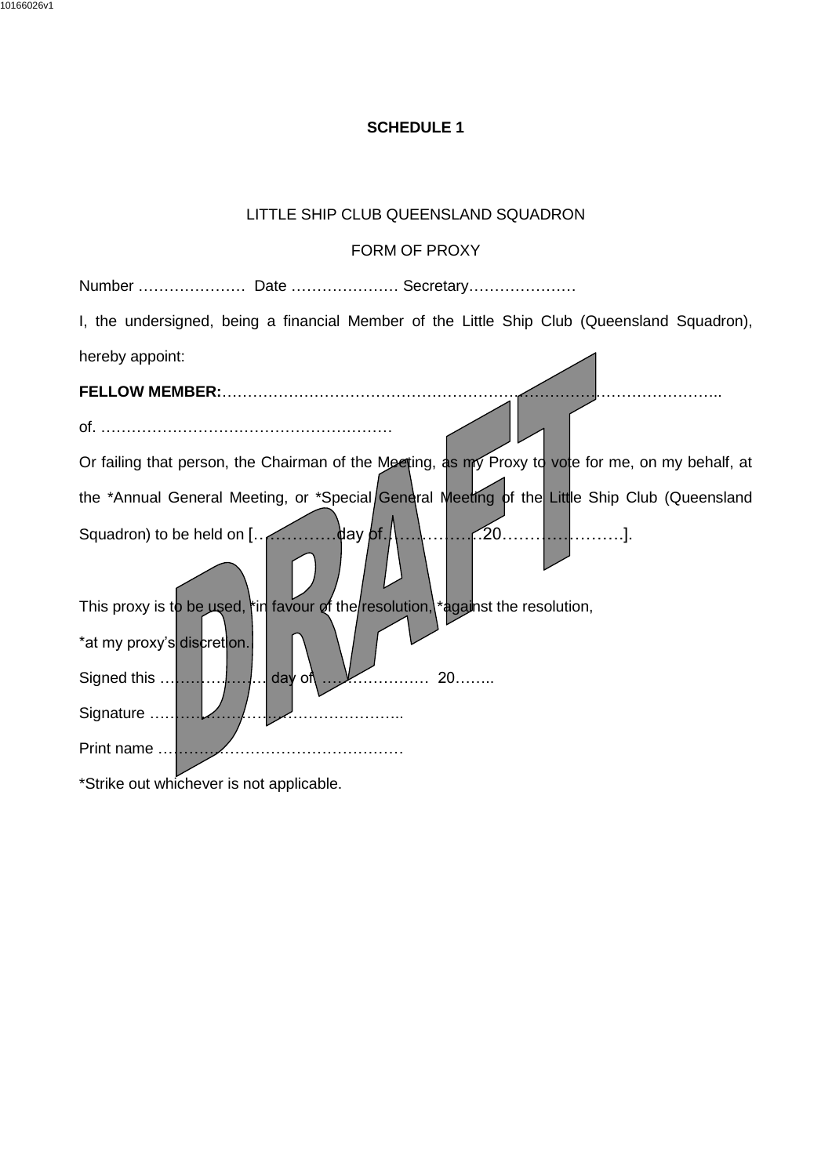## **SCHEDULE 1**

# LITTLE SHIP CLUB QUEENSLAND SQUADRON

# FORM OF PROXY

<span id="page-33-0"></span>Number ………………… Date ………………… Secretary…………………

I, the undersigned, being a financial Member of the Little Ship Club (Queensland Squadron), hereby appoint:  $\overline{\phantom{0}}$ 

| <b>FELLOW MEMBER:</b>                                                                             |
|---------------------------------------------------------------------------------------------------|
|                                                                                                   |
| Or failing that person, the Chairman of the Meeting, as my Proxy to vote for me, on my behalf, at |
| the *Annual General Meeting, or *Special/General Meeting of the Little Ship Club (Queensland      |
|                                                                                                   |
| This proxy is to be used, in favour of the resolution, * against the resolution,                  |
| *at my proxy's discretion.                                                                        |
| day of<br>20                                                                                      |
| Signature                                                                                         |
| Print name                                                                                        |
| *Otalization to del algo accepto part in particular la                                            |

\*Strike out whichever is not applicable.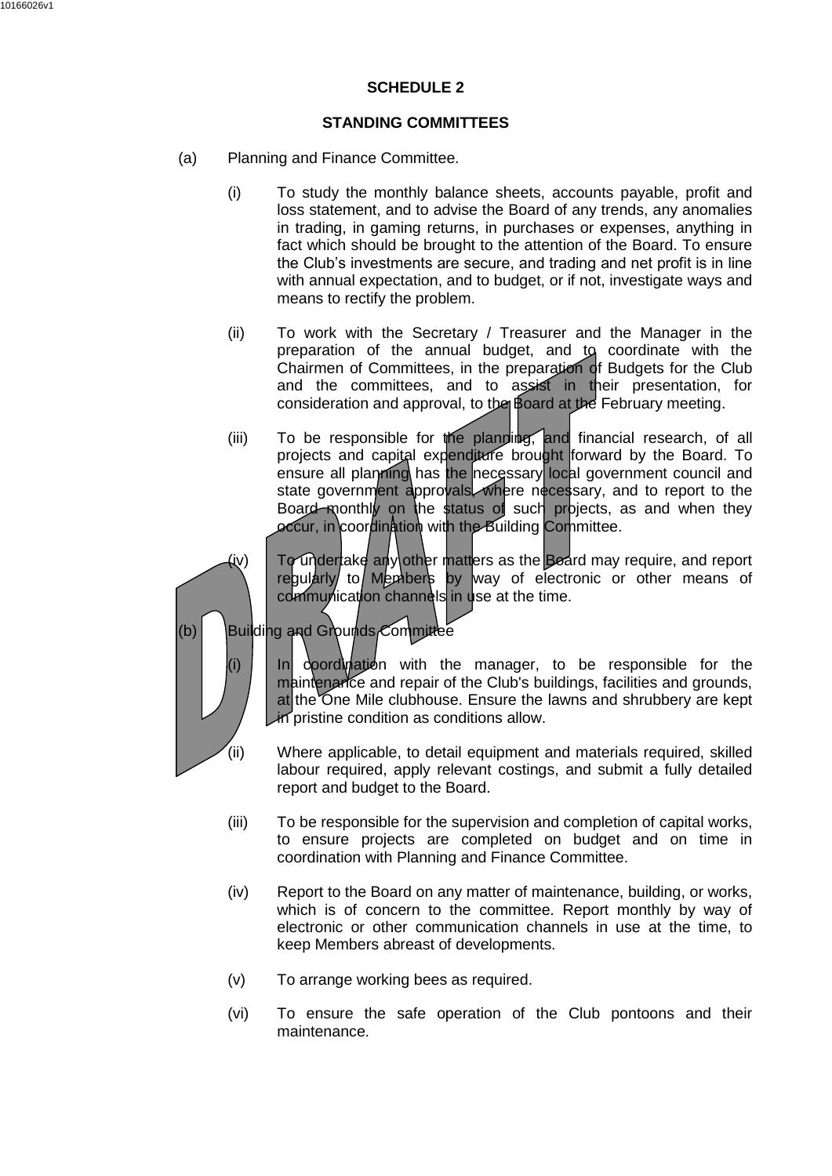#### **SCHEDULE 2**

#### **STANDING COMMITTEES**

- <span id="page-34-0"></span>(a) Planning and Finance Committee.
	- (i) To study the monthly balance sheets, accounts payable, profit and loss statement, and to advise the Board of any trends, any anomalies in trading, in gaming returns, in purchases or expenses, anything in fact which should be brought to the attention of the Board. To ensure the Club's investments are secure, and trading and net profit is in line with annual expectation, and to budget, or if not, investigate ways and means to rectify the problem.
	- (ii) To work with the Secretary / Treasurer and the Manager in the preparation of the annual budget, and to coordinate with the Chairmen of Committees, in the preparation of Budgets for the Club and the committees, and to assist in their presentation, for consideration and approval, to the Board at the February meeting.
	- (iii) To be responsible for the planning, and financial research, of all projects and capital expenditure brought forward by the Board. To ensure all planning has the necessary local government council and state government approvals, where necessary, and to report to the Board monthly on the status of such projects, as and when they occur, in coordination with the Building Cornmittee.

(iv)  $\Box$  To undertake any other matters as the Board may require, and report regularly to Members by way of electronic or other means of communication channels in use at the time.

 $(b)$  Building and Grounds Committee

 $(i)$  In coordination with the manager, to be responsible for the maintenance and repair of the Club's buildings, facilities and grounds, at the One Mile clubhouse. Ensure the lawns and shrubbery are kept in pristine condition as conditions allow.

- (ii) Where applicable, to detail equipment and materials required, skilled labour required, apply relevant costings, and submit a fully detailed report and budget to the Board.
- (iii) To be responsible for the supervision and completion of capital works, to ensure projects are completed on budget and on time in coordination with Planning and Finance Committee.
- (iv) Report to the Board on any matter of maintenance, building, or works, which is of concern to the committee. Report monthly by way of electronic or other communication channels in use at the time, to keep Members abreast of developments.
- (v) To arrange working bees as required.
- (vi) To ensure the safe operation of the Club pontoons and their maintenance.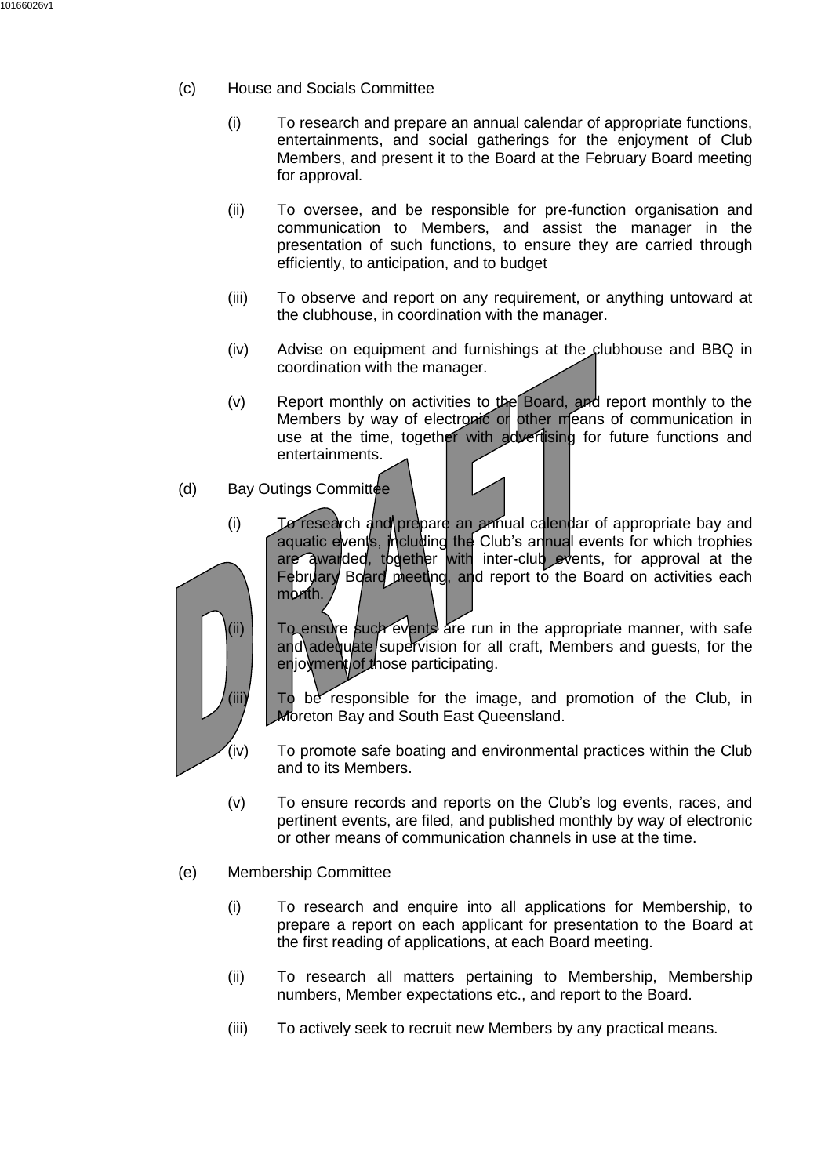- (c) House and Socials Committee
	- (i) To research and prepare an annual calendar of appropriate functions, entertainments, and social gatherings for the enjoyment of Club Members, and present it to the Board at the February Board meeting for approval.
	- (ii) To oversee, and be responsible for pre-function organisation and communication to Members, and assist the manager in the presentation of such functions, to ensure they are carried through efficiently, to anticipation, and to budget
	- (iii) To observe and report on any requirement, or anything untoward at the clubhouse, in coordination with the manager.
	- (iv) Advise on equipment and furnishings at the clubhouse and BBQ in coordination with the manager.
	- $(v)$  Report monthly on activities to the Board, and report monthly to the Members by way of electronic or other means of communication in use at the time, together with advertising for future functions and entertainments.
- $(d)$  Bay Outings Committee
	- (i) To research and prepare an annual calendar of appropriate bay and aquatic events, including the Club's annual events for which trophies are awarded, together with inter-club events, for approval at the February Board meeting, and report to the Board on activities each mbnth.

 $I$ (ii)  $\Box$  To ensure such events are run in the appropriate manner, with safe and adequate supervision for all craft, Members and quests, for the enjoyment of those participating.

(iii)  $\Box$  To be responsible for the image, and promotion of the Club, in Moreton Bay and South East Queensland.

- (iv) To promote safe boating and environmental practices within the Club and to its Members.
- (v) To ensure records and reports on the Club's log events, races, and pertinent events, are filed, and published monthly by way of electronic or other means of communication channels in use at the time.
- (e) Membership Committee
	- (i) To research and enquire into all applications for Membership, to prepare a report on each applicant for presentation to the Board at the first reading of applications, at each Board meeting.
	- (ii) To research all matters pertaining to Membership, Membership numbers, Member expectations etc., and report to the Board.
	- (iii) To actively seek to recruit new Members by any practical means.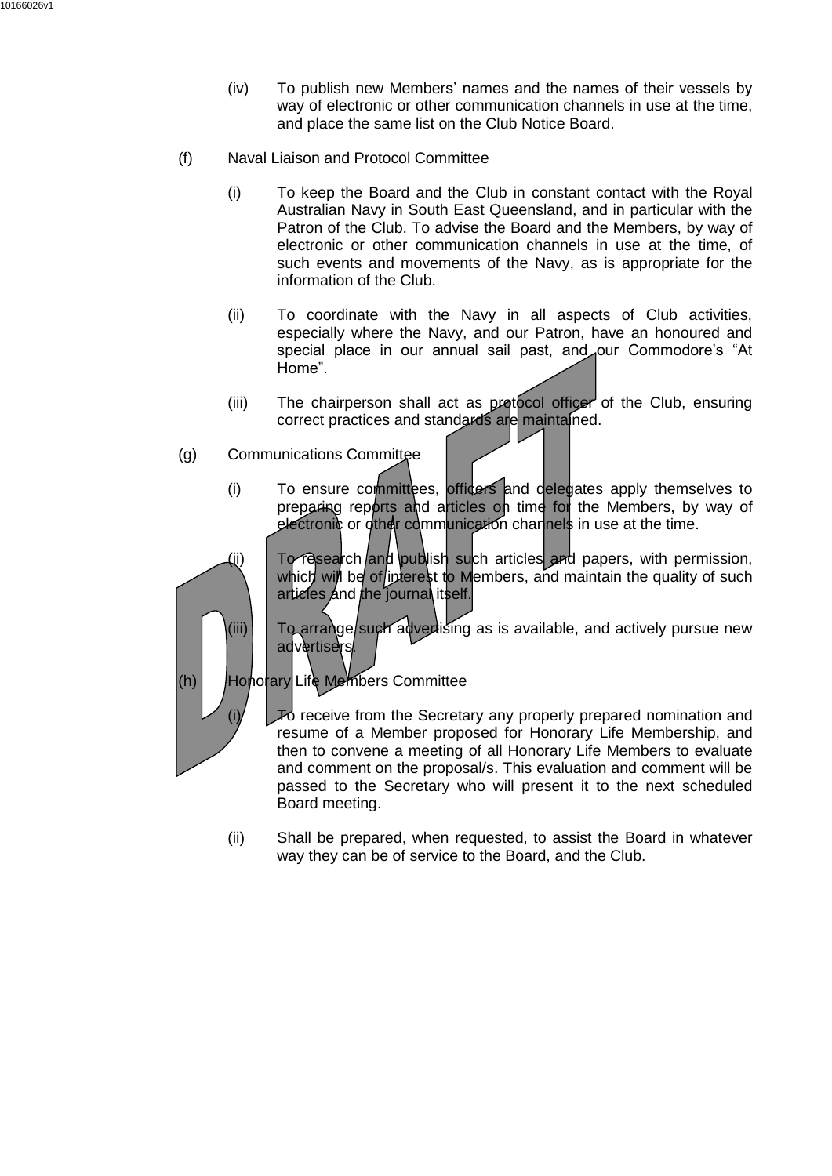- (iv) To publish new Members' names and the names of their vessels by way of electronic or other communication channels in use at the time, and place the same list on the Club Notice Board.
- (f) Naval Liaison and Protocol Committee
	- (i) To keep the Board and the Club in constant contact with the Royal Australian Navy in South East Queensland, and in particular with the Patron of the Club. To advise the Board and the Members, by way of electronic or other communication channels in use at the time, of such events and movements of the Navy, as is appropriate for the information of the Club.
	- (ii) To coordinate with the Navy in all aspects of Club activities, especially where the Navy, and our Patron, have an honoured and special place in our annual sail past, and our Commodore's "At Home".
	- (iii) The chairperson shall act as protocol officer of the Club, ensuring correct practices and standards are maintained.
- (g) Communications Committee
	- (i) To ensure committees, officers and delegates apply themselves to preparing reports and articles on time for the Members, by way of electronic or other communication channels in use at the time.



(ii)  $\Box$  To research and publish such articles and papers, with permission, which will be of interest to Members, and maintain the quality of such articles and the journal itself.

 $(iii)$  To arrange such advertising as is available, and actively pursue new advertisers

(h) | Honorary Life Members Committee

 $(i)$   $\Box$  To receive from the Secretary any properly prepared nomination and resume of a Member proposed for Honorary Life Membership, and then to convene a meeting of all Honorary Life Members to evaluate and comment on the proposal/s. This evaluation and comment will be passed to the Secretary who will present it to the next scheduled Board meeting.

(ii) Shall be prepared, when requested, to assist the Board in whatever way they can be of service to the Board, and the Club.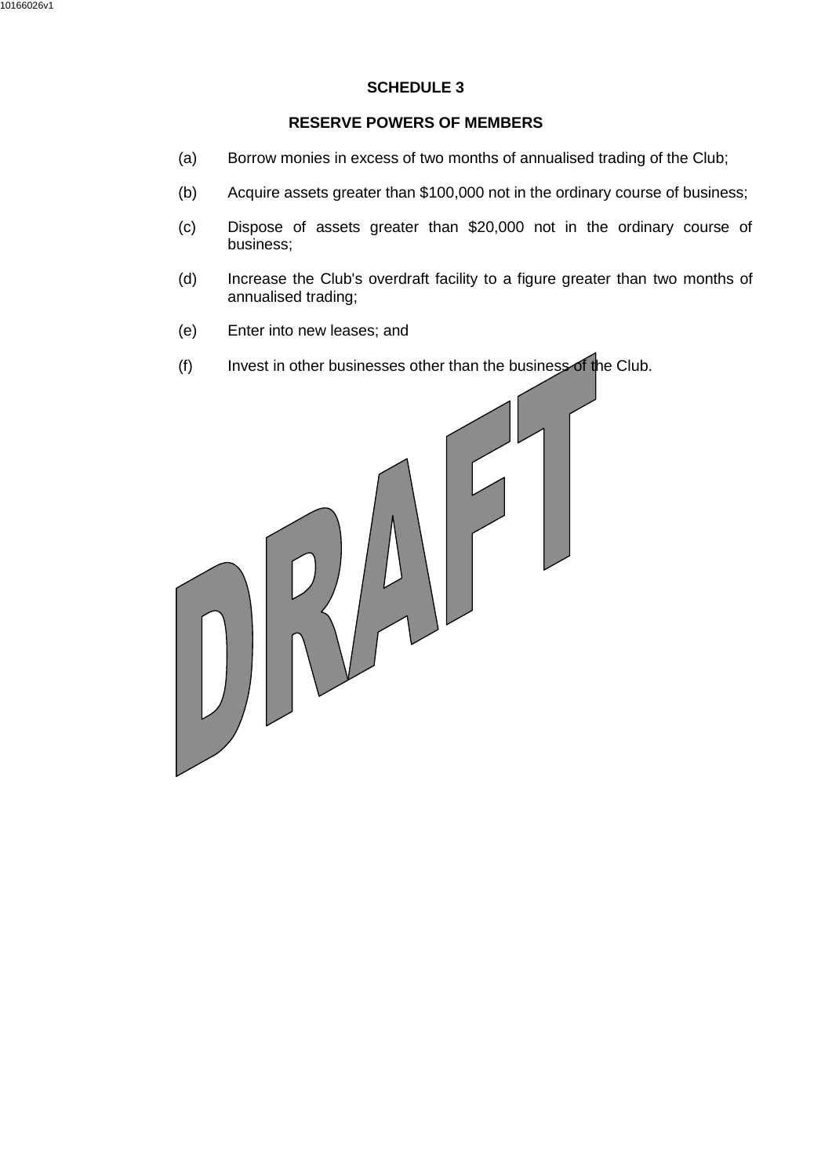# **SCHEDULE 3**

#### **RESERVE POWERS OF MEMBERS**

- <span id="page-37-0"></span>(a) Borrow monies in excess of two months of annualised trading of the Club;
- (b) Acquire assets greater than \$100,000 not in the ordinary course of business;
- (c) Dispose of assets greater than \$20,000 not in the ordinary course of business;
- (d) Increase the Club's overdraft facility to a figure greater than two months of annualised trading;
- (e) Enter into new leases; and
- (f) Invest in other businesses other than the business of the Club.